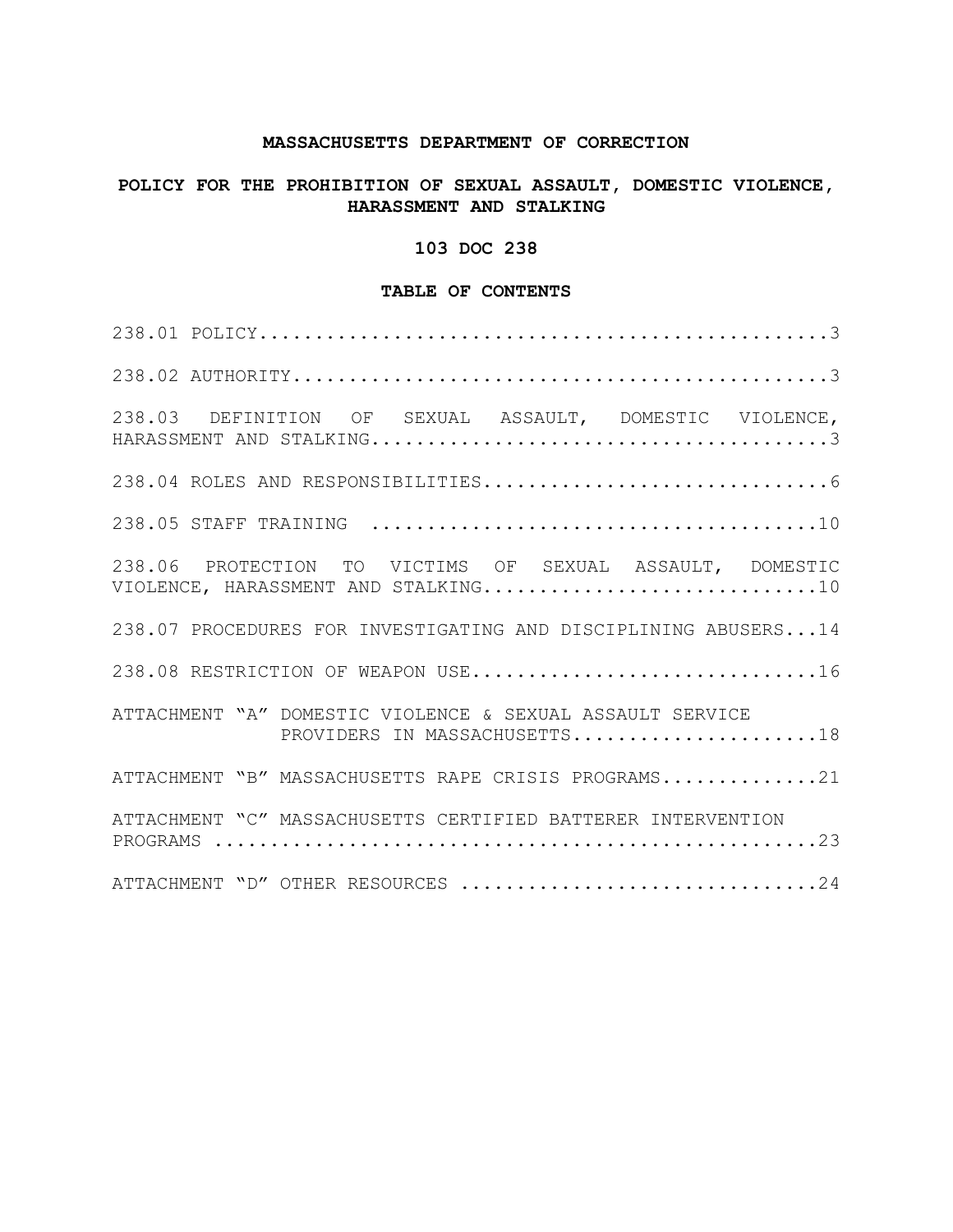### **MASSACHUSETTS DEPARTMENT OF CORRECTION**

## **POLICY FOR THE PROHIBITION OF SEXUAL ASSAULT, DOMESTIC VIOLENCE, HARASSMENT AND STALKING**

## **103 DOC 238**

### **TABLE OF CONTENTS**

| 238.03 DEFINITION OF SEXUAL ASSAULT, DOMESTIC VIOLENCE,                                         |  |
|-------------------------------------------------------------------------------------------------|--|
|                                                                                                 |  |
|                                                                                                 |  |
| 238.06 PROTECTION TO VICTIMS OF SEXUAL ASSAULT, DOMESTIC<br>VIOLENCE, HARASSMENT AND STALKING10 |  |
| 238.07 PROCEDURES FOR INVESTIGATING AND DISCIPLINING ABUSERS14                                  |  |
| 238.08 RESTRICTION OF WEAPON USE16                                                              |  |
| ATTACHMENT "A" DOMESTIC VIOLENCE & SEXUAL ASSAULT SERVICE<br>PROVIDERS IN MASSACHUSETTS18       |  |
| ATTACHMENT "B" MASSACHUSETTS RAPE CRISIS PROGRAMS21                                             |  |
| ATTACHMENT "C" MASSACHUSETTS CERTIFIED BATTERER INTERVENTION                                    |  |
| ATTACHMENT "D" OTHER RESOURCES 24                                                               |  |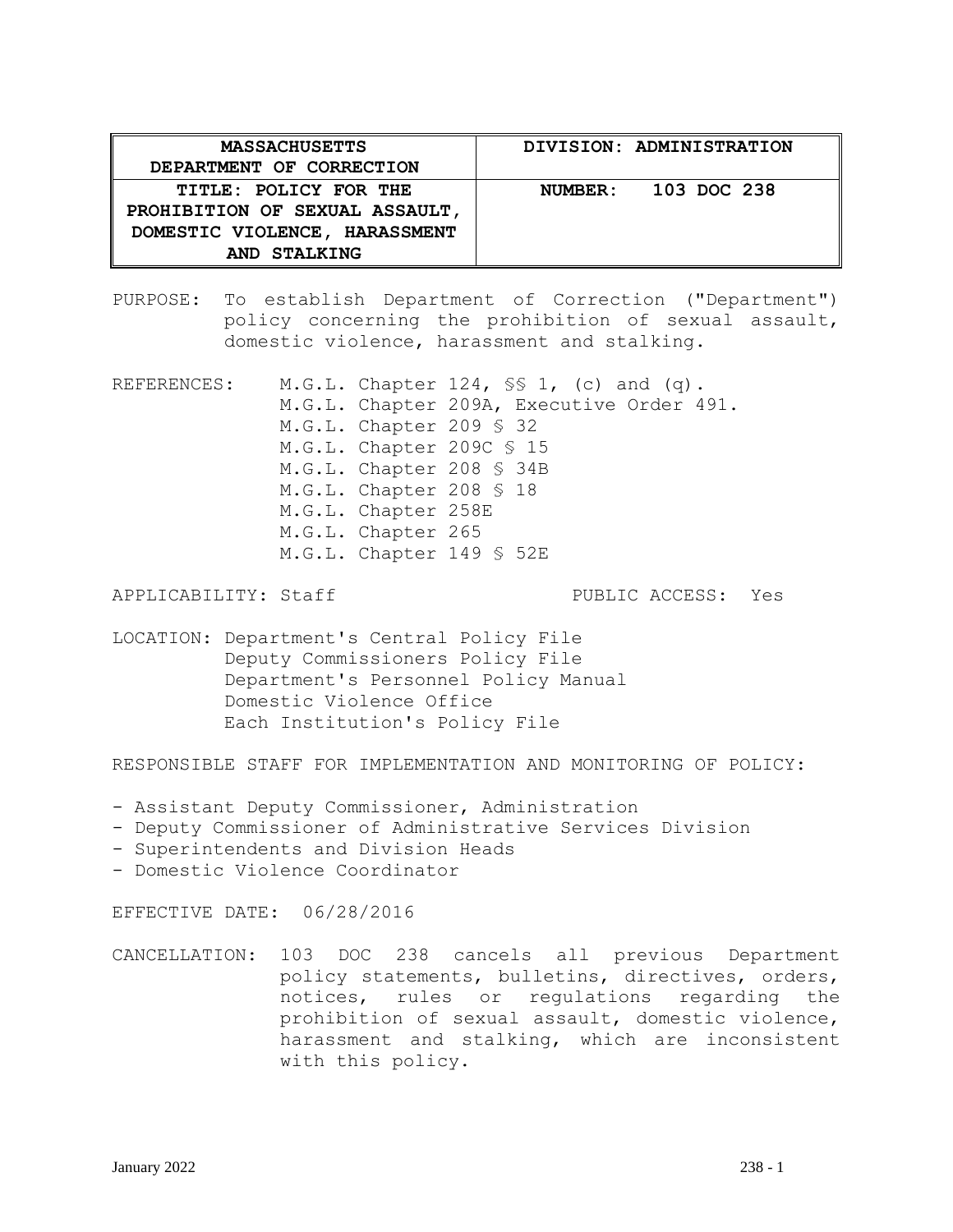| <b>MASSACHUSETTS</b><br>DEPARTMENT OF CORRECTION                                                         | DIVISION: ADMINISTRATION |
|----------------------------------------------------------------------------------------------------------|--------------------------|
| TITLE: POLICY FOR THE<br>PROHIBITION OF SEXUAL ASSAULT,<br>DOMESTIC VIOLENCE, HARASSMENT<br>AND STALKING | NUMBER: 103 DOC 238      |

PURPOSE: To establish Department of Correction ("Department") policy concerning the prohibition of sexual assault, domestic violence, harassment and stalking.

REFERENCES: M.G.L. Chapter 124, SS 1, (c) and (q). M.G.L. Chapter 209A, Executive Order 491. M.G.L. Chapter 209 § 32 M.G.L. Chapter 209C § 15 M.G.L. Chapter 208 § 34B M.G.L. Chapter 208 § 18 M.G.L. Chapter 258E M.G.L. Chapter 265 M.G.L. Chapter 149 § 52E

APPLICABILITY: Staff **PUBLIC ACCESS:** Yes

LOCATION: Department's Central Policy File Deputy Commissioners Policy File Department's Personnel Policy Manual Domestic Violence Office Each Institution's Policy File

RESPONSIBLE STAFF FOR IMPLEMENTATION AND MONITORING OF POLICY:

- Assistant Deputy Commissioner, Administration
- Deputy Commissioner of Administrative Services Division
- Superintendents and Division Heads
- Domestic Violence Coordinator

EFFECTIVE DATE: 06/28/2016

CANCELLATION: 103 DOC 238 cancels all previous Department policy statements, bulletins, directives, orders, notices, rules or regulations regarding the prohibition of sexual assault, domestic violence, harassment and stalking, which are inconsistent with this policy.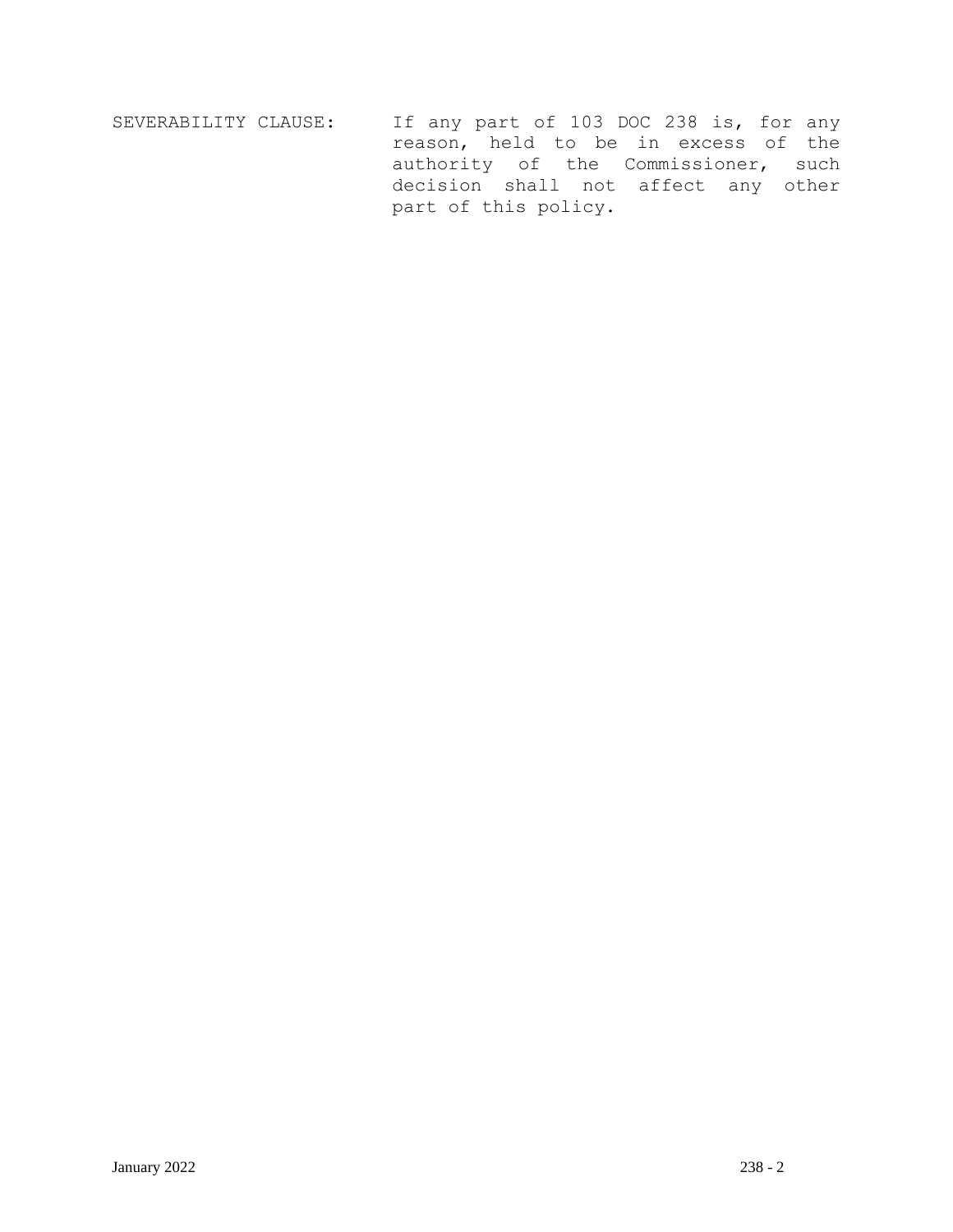SEVERABILITY CLAUSE: If any part of 103 DOC 238 is, for any reason, held to be in excess of the authority of the Commissioner, such decision shall not affect any other part of this policy.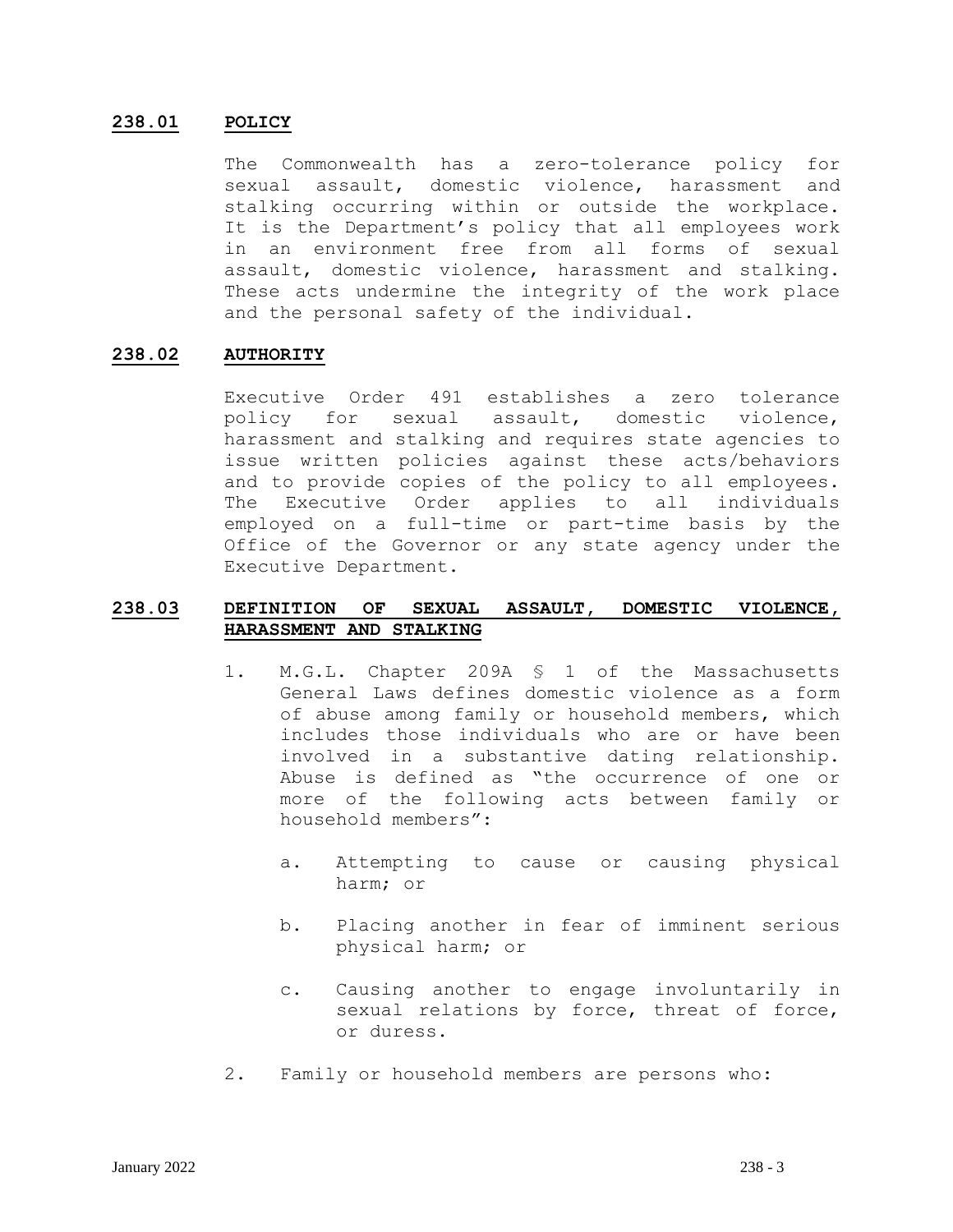### **238.01 POLICY**

The Commonwealth has a zero-tolerance policy for sexual assault, domestic violence, harassment and stalking occurring within or outside the workplace. It is the Department's policy that all employees work in an environment free from all forms of sexual assault, domestic violence, harassment and stalking. These acts undermine the integrity of the work place and the personal safety of the individual.

### **238.02 AUTHORITY**

Executive Order 491 establishes a zero tolerance policy for sexual assault, domestic violence, harassment and stalking and requires state agencies to issue written policies against these acts/behaviors and to provide copies of the policy to all employees. The Executive Order applies to all individuals employed on a full-time or part-time basis by the Office of the Governor or any state agency under the Executive Department.

## **238.03 DEFINITION OF SEXUAL ASSAULT, DOMESTIC VIOLENCE, HARASSMENT AND STALKING**

- 1. M.G.L. Chapter 209A § 1 of the Massachusetts General Laws defines domestic violence as a form of abuse among family or household members, which includes those individuals who are or have been involved in a substantive dating relationship. Abuse is defined as "the occurrence of one or more of the following acts between family or household members":
	- a. Attempting to cause or causing physical harm; or
	- b. Placing another in fear of imminent serious physical harm; or
	- c. Causing another to engage involuntarily in sexual relations by force, threat of force, or duress.
- 2. Family or household members are persons who: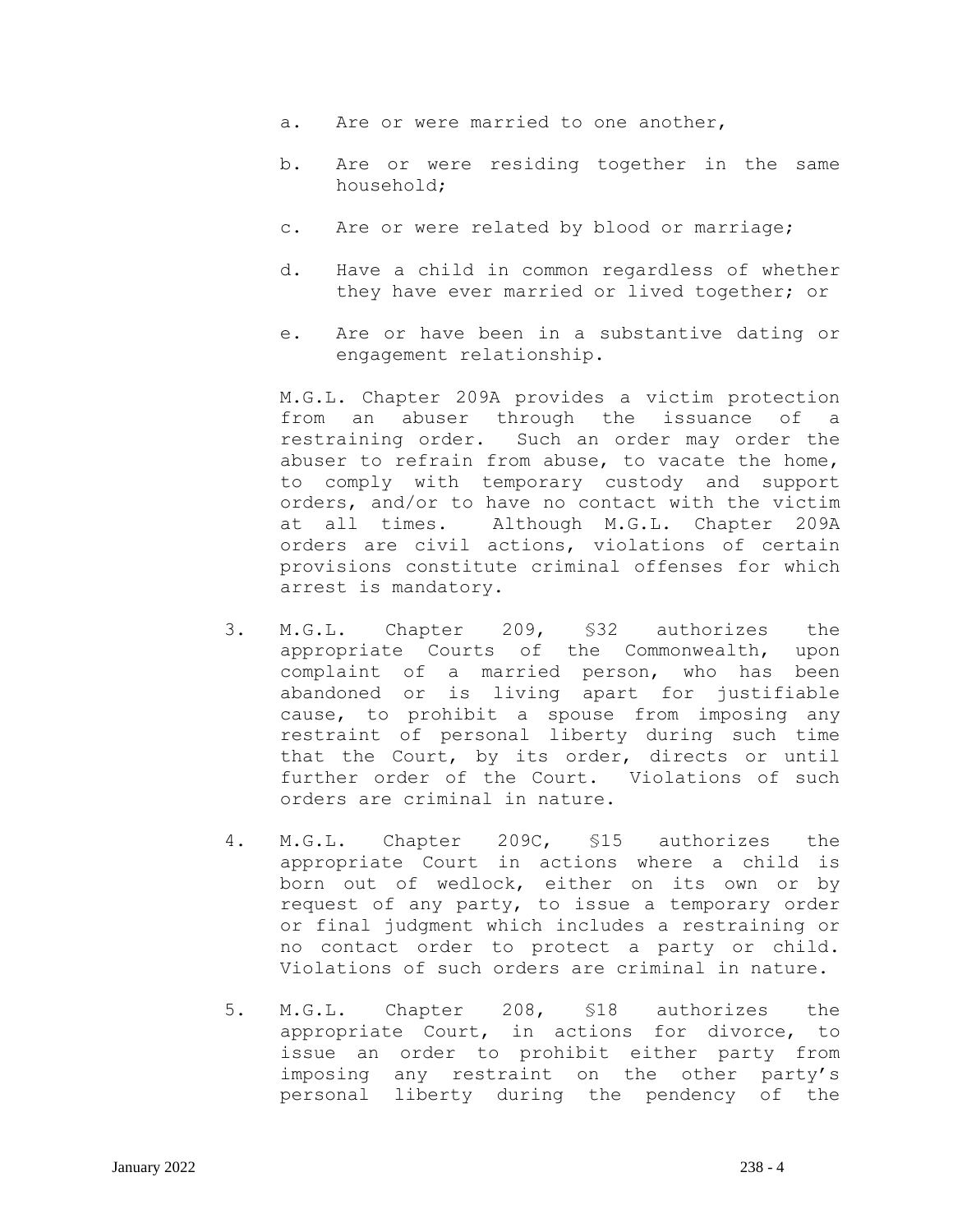- a. Are or were married to one another,
- b. Are or were residing together in the same household;
- c. Are or were related by blood or marriage;
- d. Have a child in common regardless of whether they have ever married or lived together; or
- e. Are or have been in a substantive dating or engagement relationship.

M.G.L. Chapter 209A provides a victim protection from an abuser through the issuance of a restraining order. Such an order may order the abuser to refrain from abuse, to vacate the home, to comply with temporary custody and support orders, and/or to have no contact with the victim at all times. Although M.G.L. Chapter 209A orders are civil actions, violations of certain provisions constitute criminal offenses for which arrest is mandatory.

- 3. M.G.L. Chapter 209, §32 authorizes the appropriate Courts of the Commonwealth, upon complaint of a married person, who has been abandoned or is living apart for justifiable cause, to prohibit a spouse from imposing any restraint of personal liberty during such time that the Court, by its order, directs or until further order of the Court. Violations of such orders are criminal in nature.
- 4. M.G.L. Chapter 209C, §15 authorizes the appropriate Court in actions where a child is born out of wedlock, either on its own or by request of any party, to issue a temporary order or final judgment which includes a restraining or no contact order to protect a party or child. Violations of such orders are criminal in nature.
- 5. M.G.L. Chapter 208, §18 authorizes the appropriate Court, in actions for divorce, to issue an order to prohibit either party from imposing any restraint on the other party's personal liberty during the pendency of the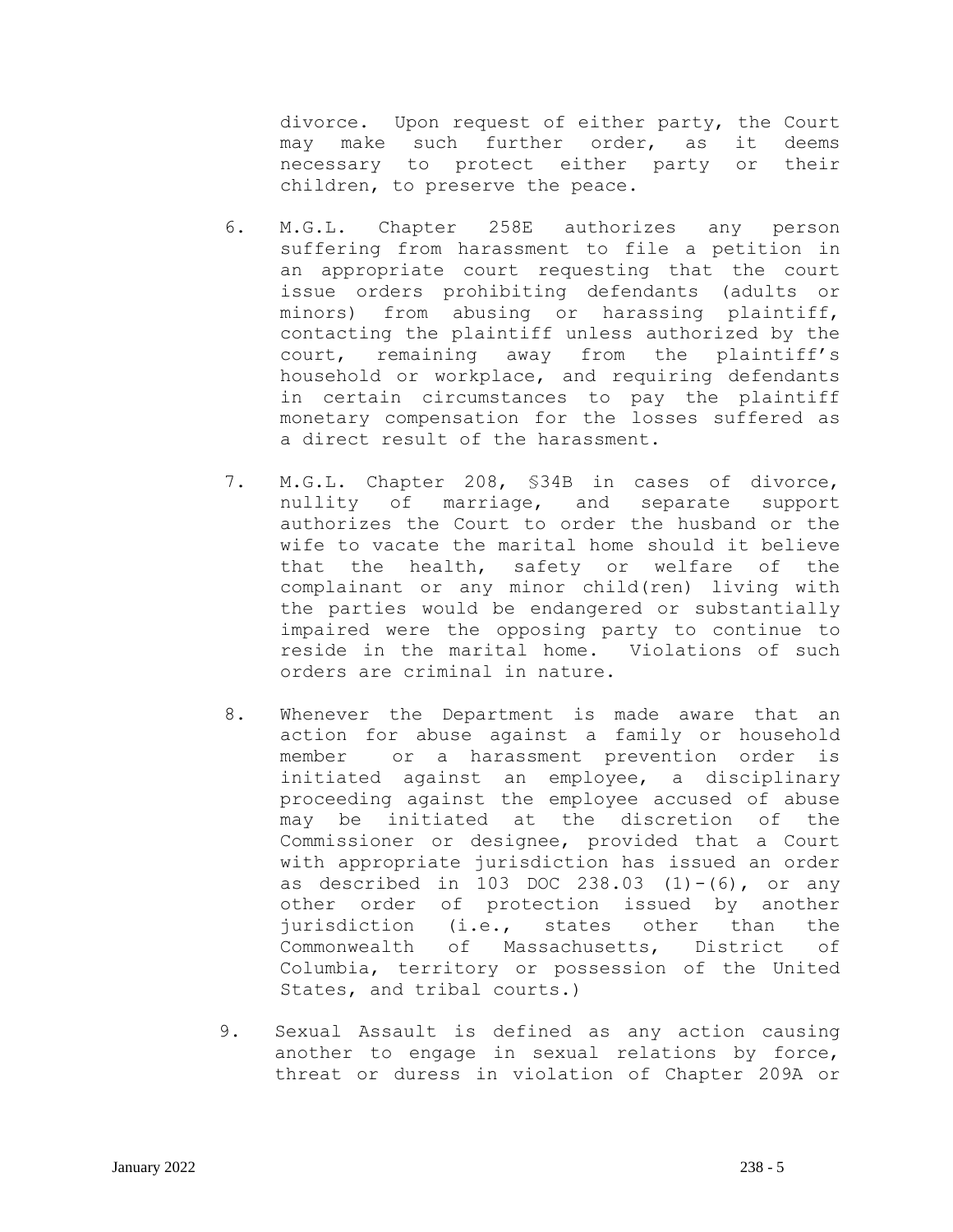divorce. Upon request of either party, the Court may make such further order, as it deems necessary to protect either party or their children, to preserve the peace.

- 6. M.G.L. Chapter 258E authorizes any person suffering from harassment to file a petition in an appropriate court requesting that the court issue orders prohibiting defendants (adults or minors) from abusing or harassing plaintiff, contacting the plaintiff unless authorized by the court, remaining away from the plaintiff's household or workplace, and requiring defendants in certain circumstances to pay the plaintiff monetary compensation for the losses suffered as a direct result of the harassment.
- 7. M.G.L. Chapter 208, §34B in cases of divorce, nullity of marriage, and separate support authorizes the Court to order the husband or the wife to vacate the marital home should it believe that the health, safety or welfare of the complainant or any minor child(ren) living with the parties would be endangered or substantially impaired were the opposing party to continue to reside in the marital home. Violations of such orders are criminal in nature.
- 8. Whenever the Department is made aware that an action for abuse against a family or household member or a harassment prevention order is initiated against an employee, a disciplinary proceeding against the employee accused of abuse may be initiated at the discretion of the Commissioner or designee, provided that a Court with appropriate jurisdiction has issued an order as described in 103 DOC 238.03  $(1)-(6)$ , or any other order of protection issued by another jurisdiction (i.e., states other than the Commonwealth of Massachusetts, District of Columbia, territory or possession of the United States, and tribal courts.)
- 9. Sexual Assault is defined as any action causing another to engage in sexual relations by force, threat or duress in violation of Chapter 209A or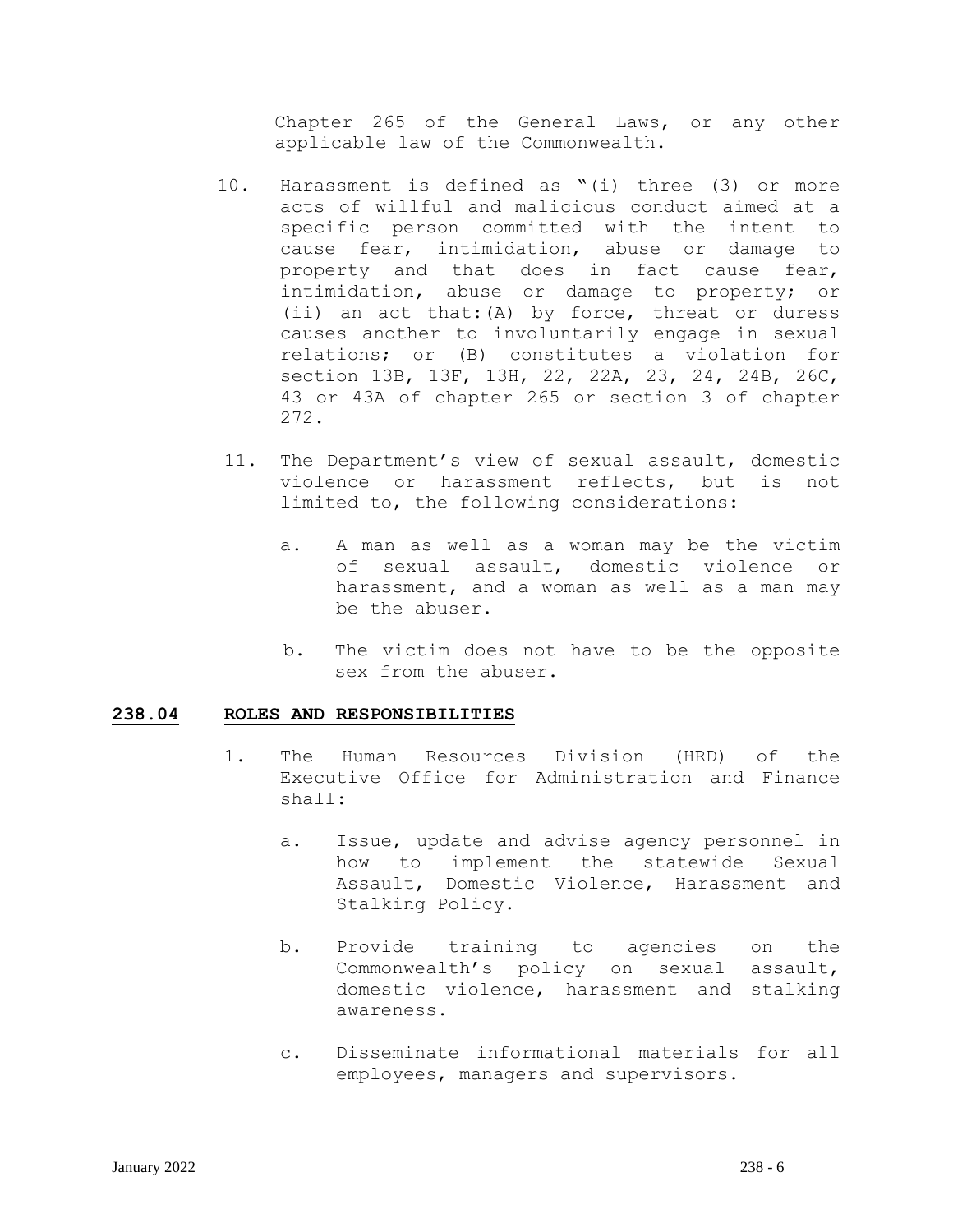Chapter 265 of the General Laws, or any other applicable law of the Commonwealth.

- 10. Harassment is defined as "(i) three (3) or more acts of willful and malicious conduct aimed at a specific person committed with the intent to cause fear, intimidation, abuse or damage to property and that does in fact cause fear, intimidation, abuse or damage to property; or (ii) an act that:(A) by force, threat or duress causes another to involuntarily engage in sexual relations; or (B) constitutes a violation for section 13B, 13F, 13H, 22, 22A, 23, 24, 24B, 26C, 43 or 43A of chapter 265 or section 3 of chapter 272.
- 11. The Department's view of sexual assault, domestic violence or harassment reflects, but is not limited to, the following considerations:
	- a. A man as well as a woman may be the victim of sexual assault, domestic violence or harassment, and a woman as well as a man may be the abuser.
	- b. The victim does not have to be the opposite sex from the abuser.

#### **238.04 ROLES AND RESPONSIBILITIES**

- 1. The Human Resources Division (HRD) of the Executive Office for Administration and Finance shall:
	- a. Issue, update and advise agency personnel in how to implement the statewide Sexual Assault, Domestic Violence, Harassment and Stalking Policy.
	- b. Provide training to agencies on the Commonwealth's policy on sexual assault, domestic violence, harassment and stalking awareness.
	- c. Disseminate informational materials for all employees, managers and supervisors.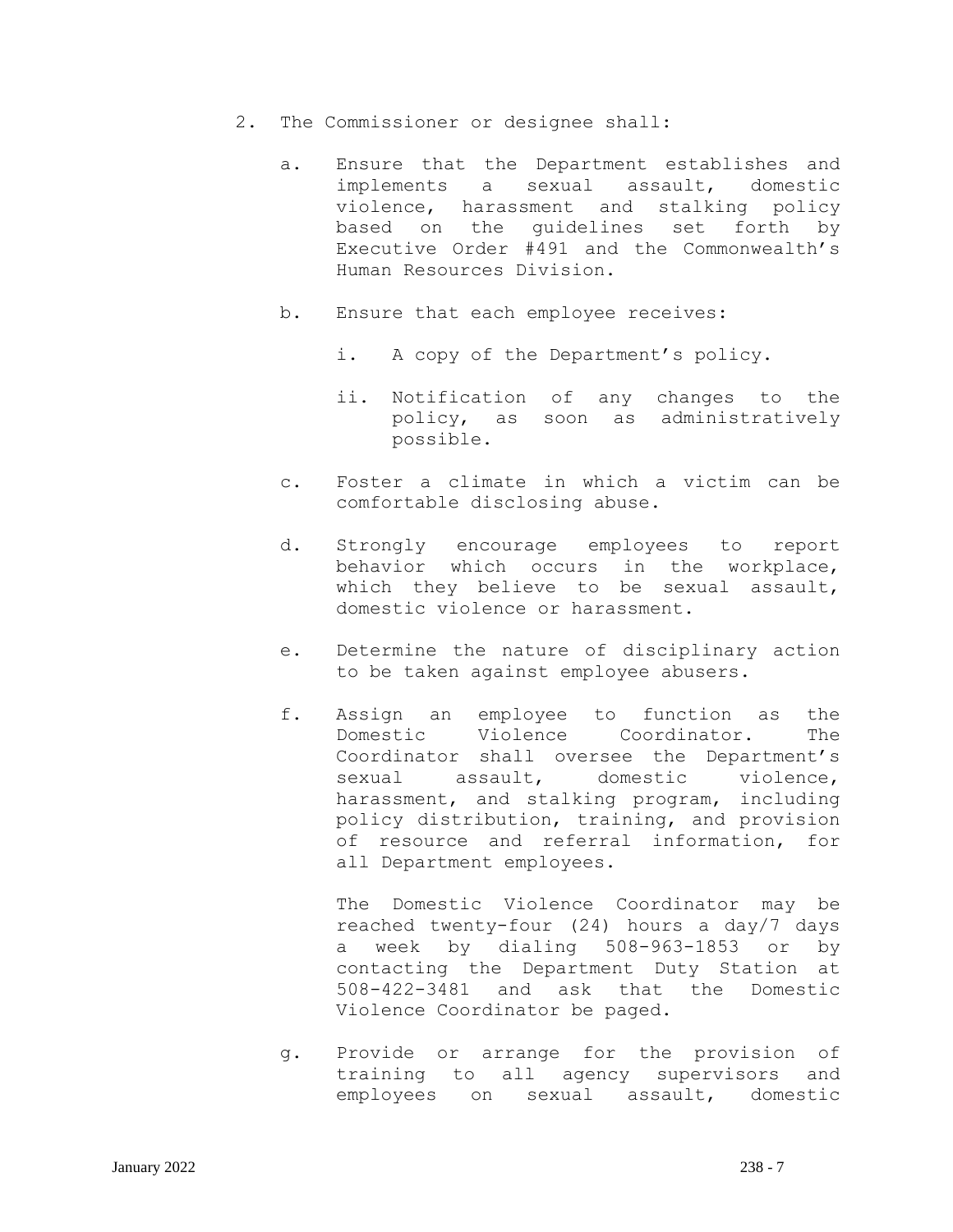- 2. The Commissioner or designee shall:
	- a. Ensure that the Department establishes and implements a sexual assault, domestic violence, harassment and stalking policy based on the guidelines set forth by Executive Order #491 and the Commonwealth's Human Resources Division.
	- b. Ensure that each employee receives:
		- i. A copy of the Department's policy.
		- ii. Notification of any changes to the policy, as soon as administratively possible.
	- c. Foster a climate in which a victim can be comfortable disclosing abuse.
	- d. Strongly encourage employees to report behavior which occurs in the workplace, which they believe to be sexual assault, domestic violence or harassment.
	- e. Determine the nature of disciplinary action to be taken against employee abusers.
	- f. Assign an employee to function as the Domestic Violence Coordinator. The Coordinator shall oversee the Department's sexual assault, domestic violence, harassment, and stalking program, including policy distribution, training, and provision of resource and referral information, for all Department employees.

The Domestic Violence Coordinator may be reached twenty-four (24) hours a day/7 days a week by dialing 508-963-1853 or by contacting the Department Duty Station at 508-422-3481 and ask that the Domestic Violence Coordinator be paged.

g. Provide or arrange for the provision of training to all agency supervisors and employees on sexual assault, domestic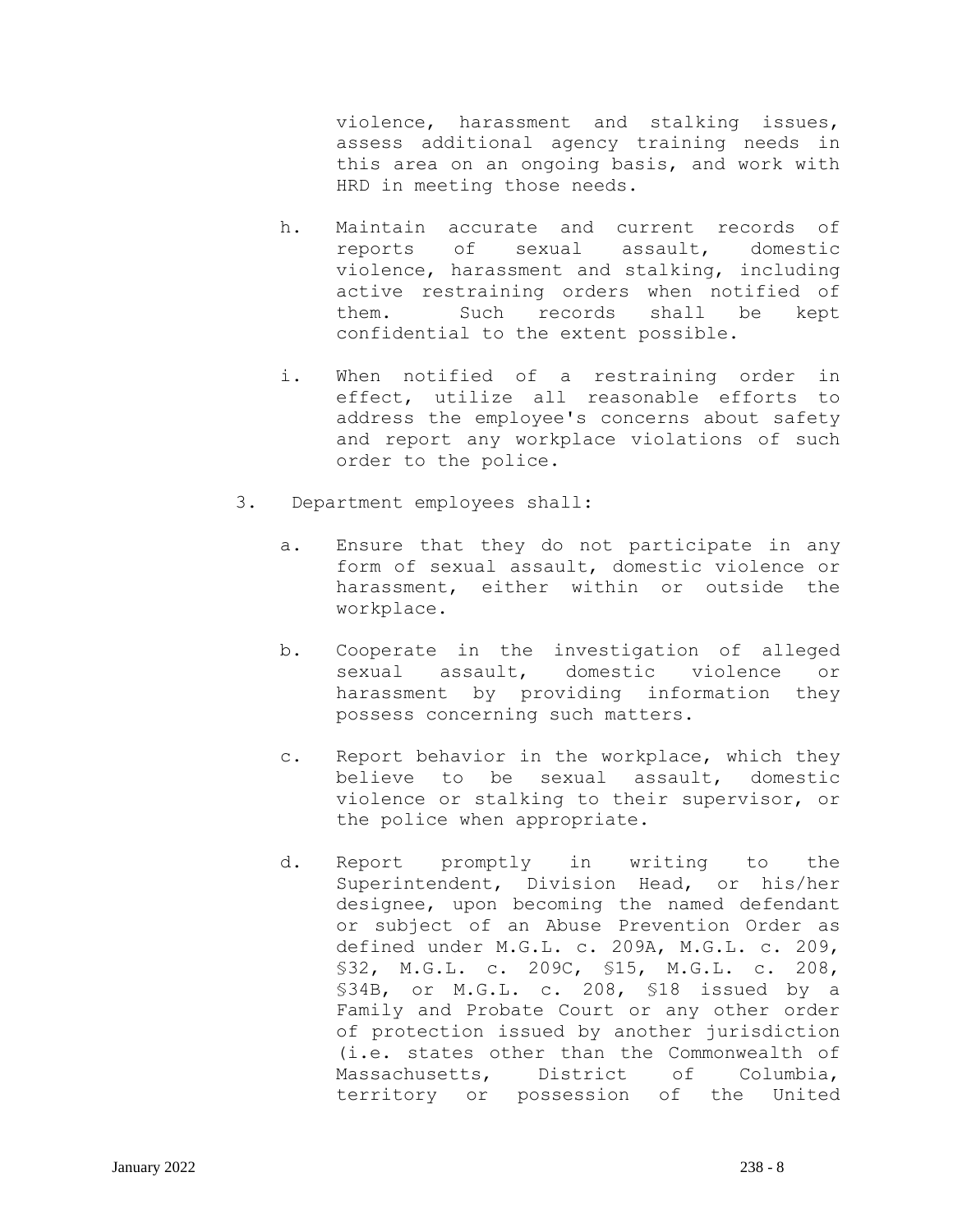violence, harassment and stalking issues, assess additional agency training needs in this area on an ongoing basis, and work with HRD in meeting those needs.

- h. Maintain accurate and current records of reports of sexual assault, domestic violence, harassment and stalking, including active restraining orders when notified of them. Such records shall be kept confidential to the extent possible.
- i. When notified of a restraining order in effect, utilize all reasonable efforts to address the employee's concerns about safety and report any workplace violations of such order to the police.
- 3. Department employees shall:
	- a. Ensure that they do not participate in any form of sexual assault, domestic violence or harassment, either within or outside the workplace.
	- b. Cooperate in the investigation of alleged sexual assault, domestic violence or harassment by providing information they possess concerning such matters.
	- c. Report behavior in the workplace, which they believe to be sexual assault, domestic violence or stalking to their supervisor, or the police when appropriate.
	- d. Report promptly in writing to the Superintendent, Division Head, or his/her designee, upon becoming the named defendant or subject of an Abuse Prevention Order as defined under M.G.L. c. 209A, M.G.L. c. 209, §32, M.G.L. c. 209C, §15, M.G.L. c. 208, §34B, or M.G.L. c. 208, §18 issued by a Family and Probate Court or any other order of protection issued by another jurisdiction (i.e. states other than the Commonwealth of Massachusetts, District of Columbia, territory or possession of the United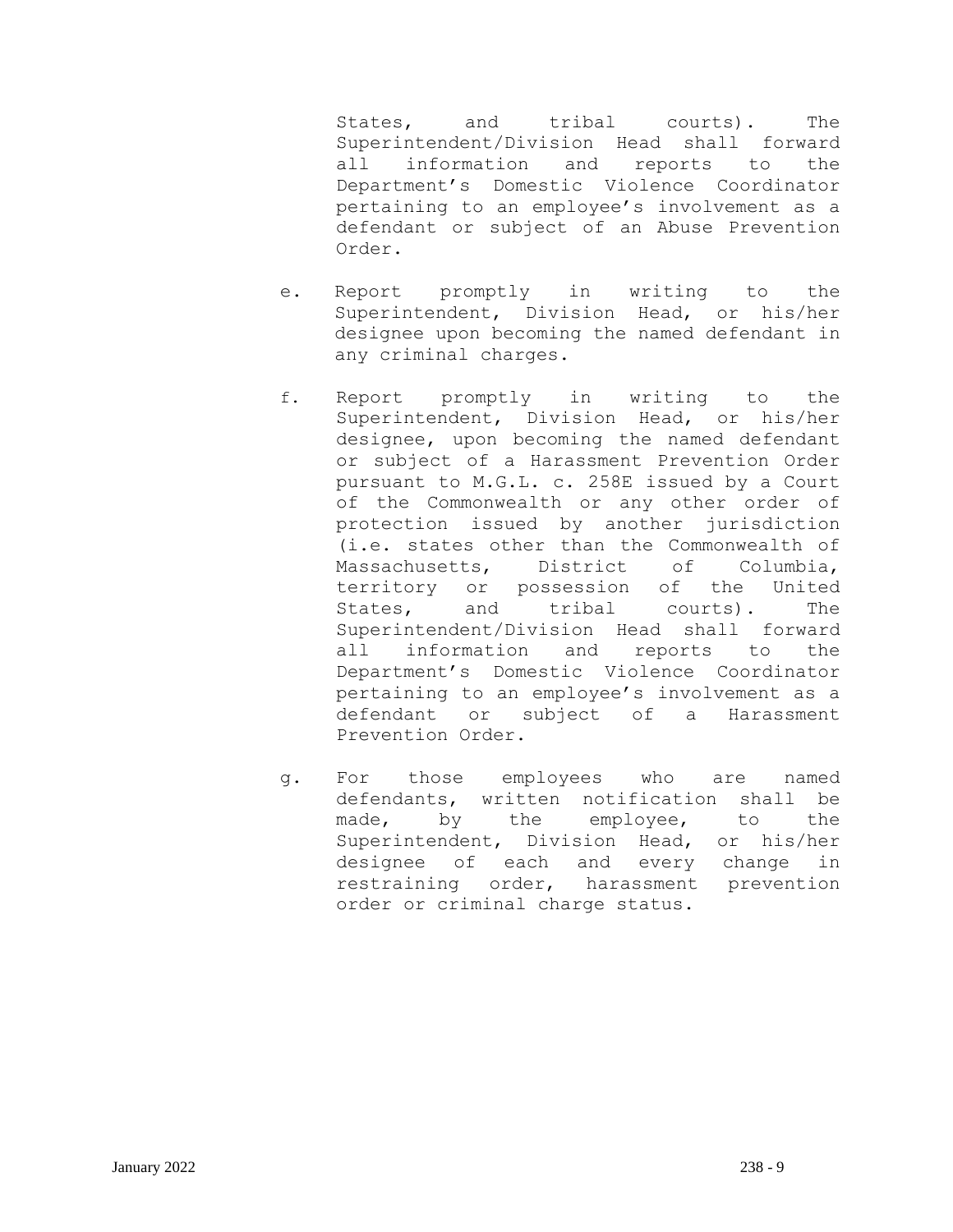States, and tribal courts). The Superintendent/Division Head shall forward all information and reports to the Department's Domestic Violence Coordinator pertaining to an employee's involvement as a defendant or subject of an Abuse Prevention Order.

- e. Report promptly in writing to the Superintendent, Division Head, or his/her designee upon becoming the named defendant in any criminal charges.
- f. Report promptly in writing to the Superintendent, Division Head, or his/her designee, upon becoming the named defendant or subject of a Harassment Prevention Order pursuant to M.G.L. c. 258E issued by a Court of the Commonwealth or any other order of protection issued by another jurisdiction (i.e. states other than the Commonwealth of Massachusetts, District of Columbia, territory or possession of the United States, and tribal courts). The Superintendent/Division Head shall forward all information and reports to the Department's Domestic Violence Coordinator pertaining to an employee's involvement as a defendant or subject of a Harassment Prevention Order.
- g. For those employees who are named defendants, written notification shall be made, by the employee, to the Superintendent, Division Head, or his/her designee of each and every change in restraining order, harassment prevention order or criminal charge status.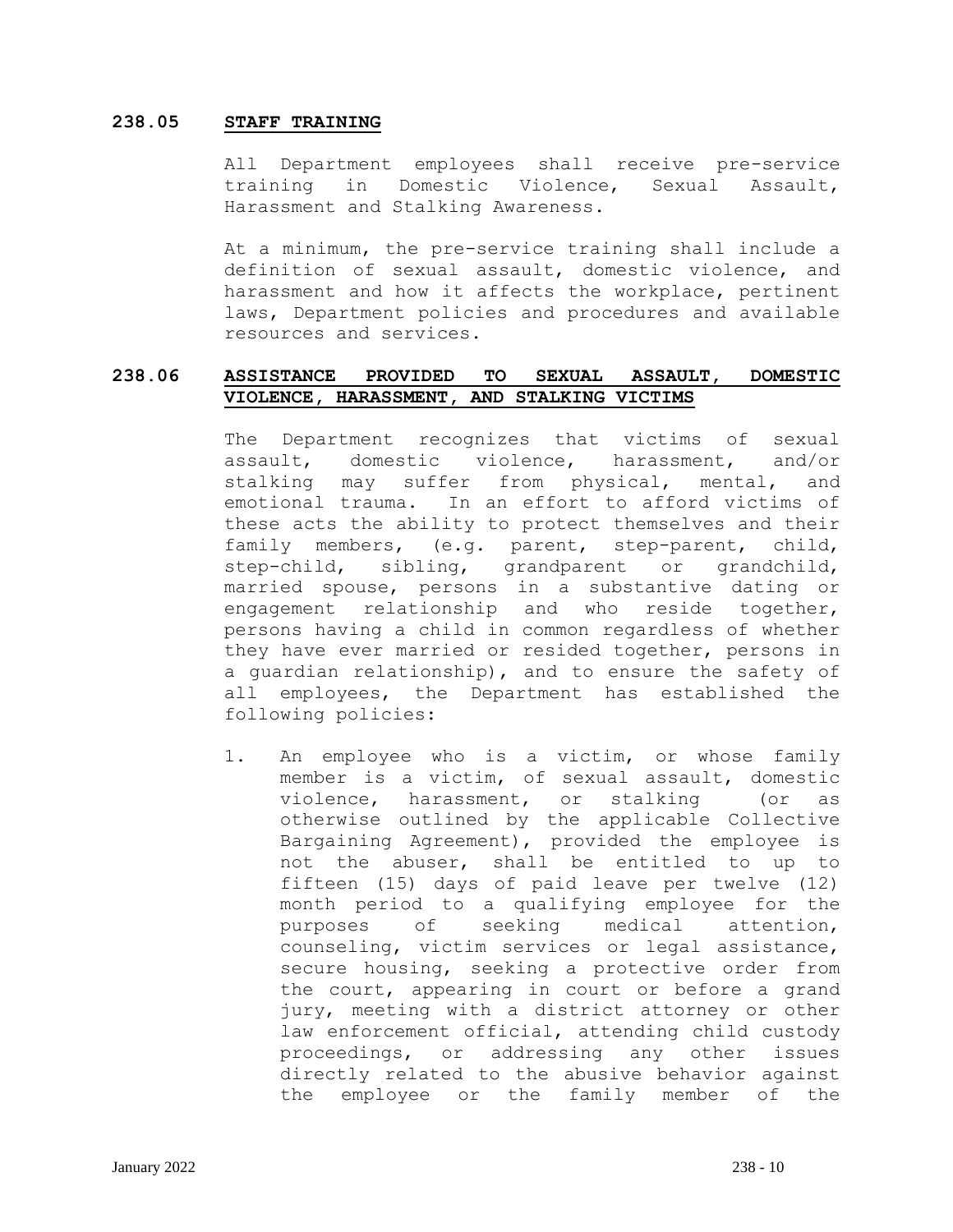### **238.05 STAFF TRAINING**

All Department employees shall receive pre-service training in Domestic Violence, Sexual Assault, Harassment and Stalking Awareness.

At a minimum, the pre-service training shall include a definition of sexual assault, domestic violence, and harassment and how it affects the workplace, pertinent laws, Department policies and procedures and available resources and services.

## **238.06 ASSISTANCE PROVIDED TO SEXUAL ASSAULT, DOMESTIC VIOLENCE, HARASSMENT, AND STALKING VICTIMS**

The Department recognizes that victims of sexual assault, domestic violence, harassment, and/or stalking may suffer from physical, mental, and emotional trauma. In an effort to afford victims of these acts the ability to protect themselves and their family members, (e.g. parent, step-parent, child, step-child, sibling, grandparent or grandchild, married spouse, persons in a substantive dating or engagement relationship and who reside together, persons having a child in common regardless of whether they have ever married or resided together, persons in a guardian relationship), and to ensure the safety of all employees, the Department has established the following policies:

1. An employee who is a victim, or whose family member is a victim, of sexual assault, domestic violence, harassment, or stalking (or as otherwise outlined by the applicable Collective Bargaining Agreement), provided the employee is not the abuser, shall be entitled to up to fifteen (15) days of paid leave per twelve (12) month period to a qualifying employee for the purposes of seeking medical attention, counseling, victim services or legal assistance, secure housing, seeking a protective order from the court, appearing in court or before a grand jury, meeting with a district attorney or other law enforcement official, attending child custody proceedings, or addressing any other issues directly related to the abusive behavior against the employee or the family member of the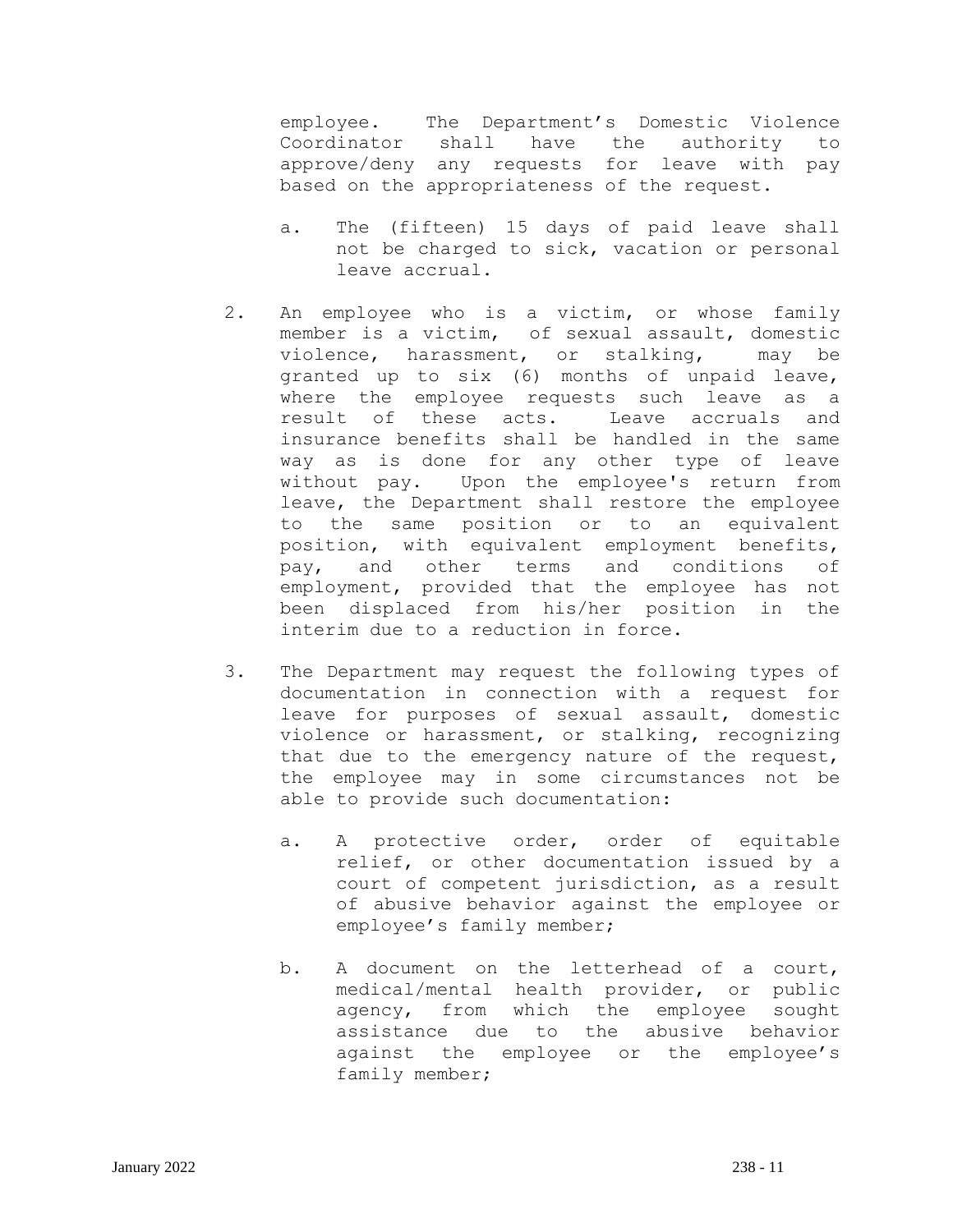employee. The Department's Domestic Violence Coordinator shall have the authority to approve/deny any requests for leave with pay based on the appropriateness of the request.

- a. The (fifteen) 15 days of paid leave shall not be charged to sick, vacation or personal leave accrual.
- 2. An employee who is a victim, or whose family member is a victim, of sexual assault, domestic violence, harassment, or stalking, may be granted up to six (6) months of unpaid leave, where the employee requests such leave as a result of these acts. Leave accruals and insurance benefits shall be handled in the same way as is done for any other type of leave without pay. Upon the employee's return from leave, the Department shall restore the employee to the same position or to an equivalent position, with equivalent employment benefits, pay, and other terms and conditions of employment, provided that the employee has not been displaced from his/her position in the interim due to a reduction in force.
- 3. The Department may request the following types of documentation in connection with a request for leave for purposes of sexual assault, domestic violence or harassment, or stalking, recognizing that due to the emergency nature of the request, the employee may in some circumstances not be able to provide such documentation:
	- a. A protective order, order of equitable relief, or other documentation issued by a court of competent jurisdiction, as a result of abusive behavior against the employee or employee's family member;
	- b. A document on the letterhead of a court, medical/mental health provider, or public agency, from which the employee sought assistance due to the abusive behavior against the employee or the employee's family member;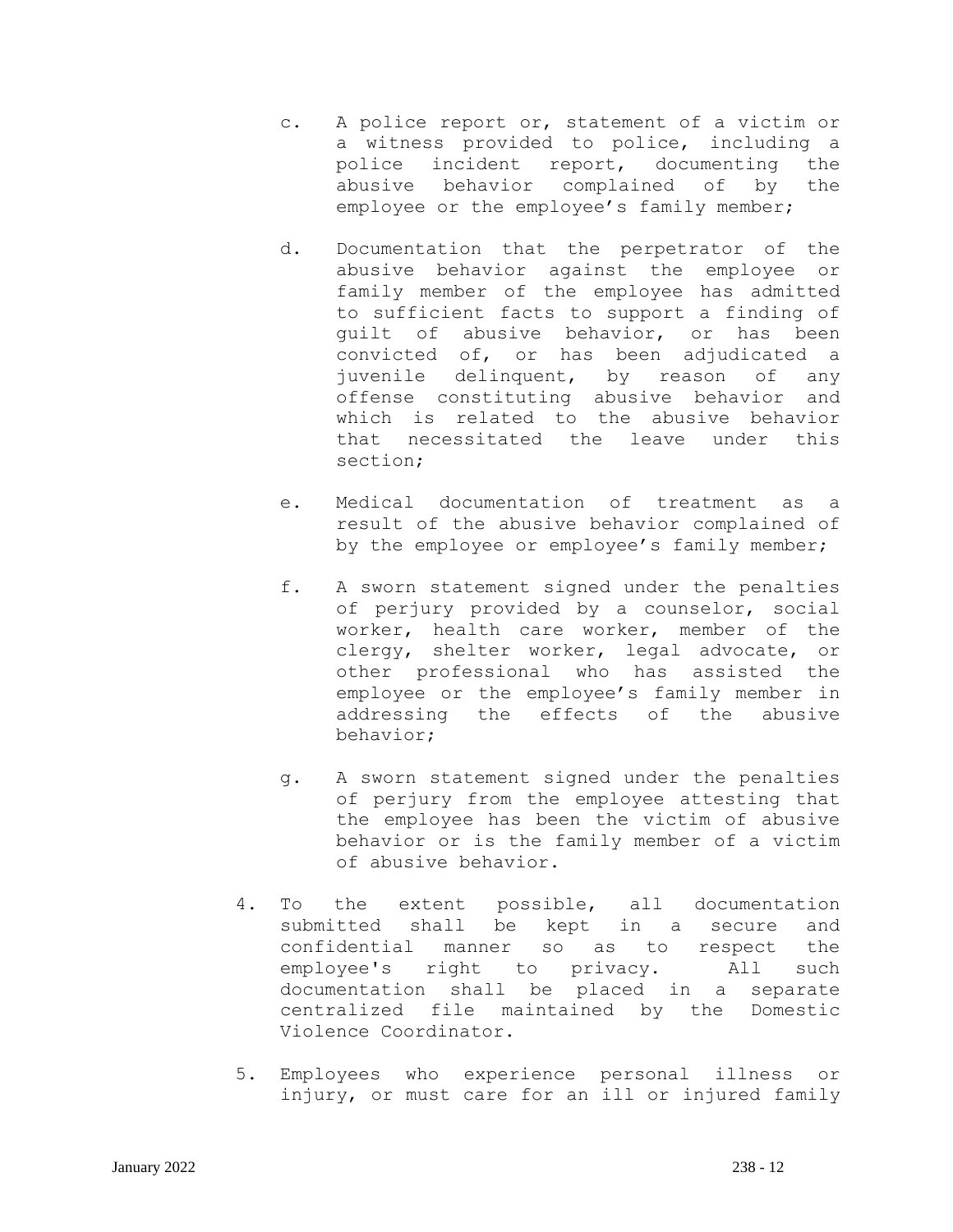- c. A police report or, statement of a victim or a witness provided to police, including a police incident report, documenting the abusive behavior complained of by the employee or the employee's family member;
- d. Documentation that the perpetrator of the abusive behavior against the employee or family member of the employee has admitted to sufficient facts to support a finding of guilt of abusive behavior, or has been convicted of, or has been adjudicated a juvenile delinquent, by reason of any offense constituting abusive behavior and which is related to the abusive behavior that necessitated the leave under this section;
- e. Medical documentation of treatment as a result of the abusive behavior complained of by the employee or employee's family member;
- f. A sworn statement signed under the penalties of perjury provided by a counselor, social worker, health care worker, member of the clergy, shelter worker, legal advocate, or other professional who has assisted the employee or the employee's family member in addressing the effects of the abusive behavior;
- g. A sworn statement signed under the penalties of perjury from the employee attesting that the employee has been the victim of abusive behavior or is the family member of a victim of abusive behavior.
- 4. To the extent possible, all documentation submitted shall be kept in a secure and confidential manner so as to respect the employee's right to privacy. All such documentation shall be placed in a separate centralized file maintained by the Domestic Violence Coordinator.
- 5. Employees who experience personal illness or injury, or must care for an ill or injured family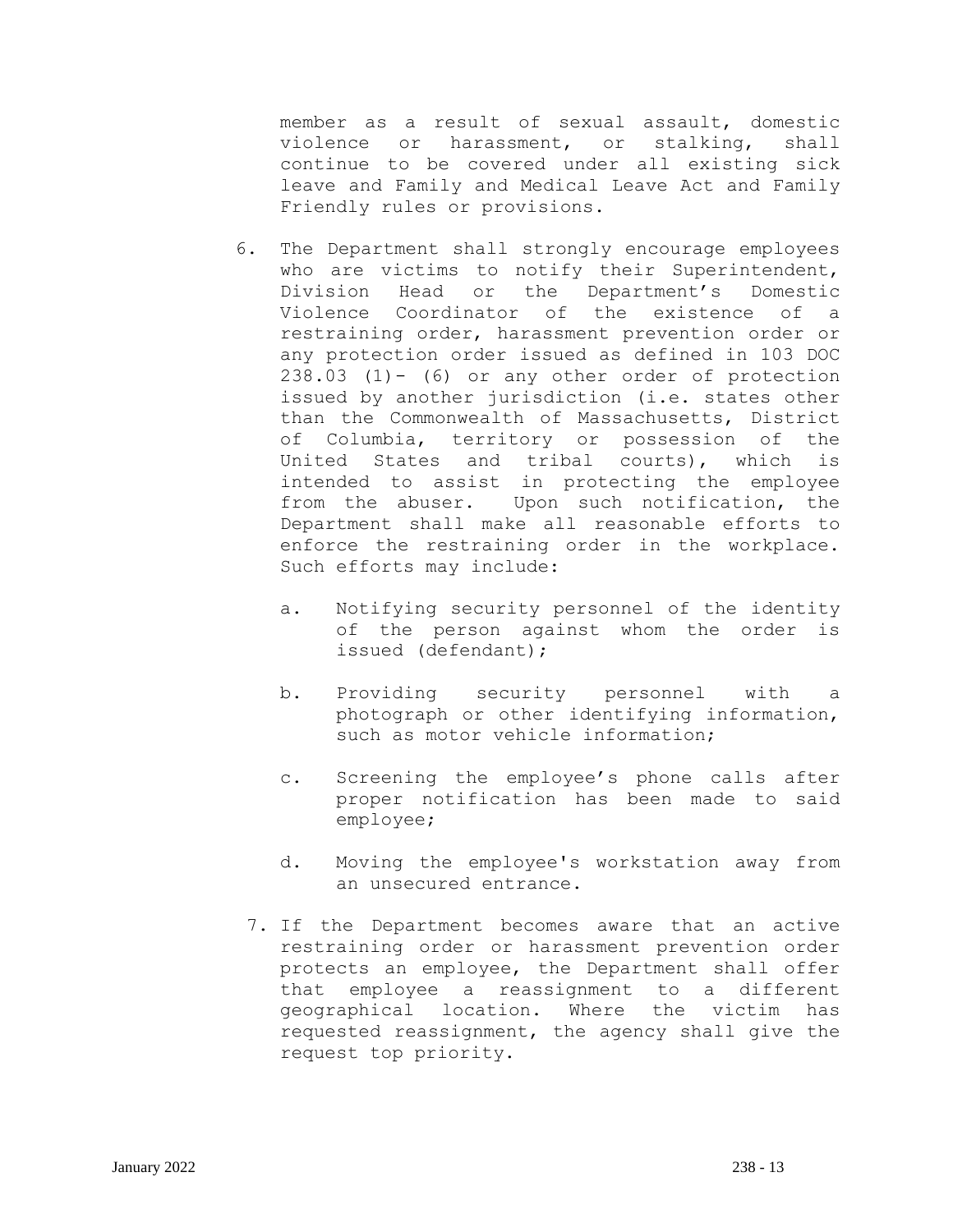member as a result of sexual assault, domestic violence or harassment, or stalking, shall continue to be covered under all existing sick leave and Family and Medical Leave Act and Family Friendly rules or provisions.

- 6. The Department shall strongly encourage employees who are victims to notify their Superintendent, Division Head or the Department's Domestic Violence Coordinator of the existence of a restraining order, harassment prevention order or any protection order issued as defined in 103 DOC 238.03 (1)- (6) or any other order of protection issued by another jurisdiction (i.e. states other than the Commonwealth of Massachusetts, District of Columbia, territory or possession of the United States and tribal courts), which is intended to assist in protecting the employee from the abuser. Upon such notification, the Department shall make all reasonable efforts to enforce the restraining order in the workplace. Such efforts may include:
	- a. Notifying security personnel of the identity of the person against whom the order is issued (defendant);
	- b. Providing security personnel with a photograph or other identifying information, such as motor vehicle information;
	- c. Screening the employee's phone calls after proper notification has been made to said employee;
	- d. Moving the employee's workstation away from an unsecured entrance.
	- 7. If the Department becomes aware that an active restraining order or harassment prevention order protects an employee, the Department shall offer that employee a reassignment to a different geographical location. Where the victim has requested reassignment, the agency shall give the request top priority.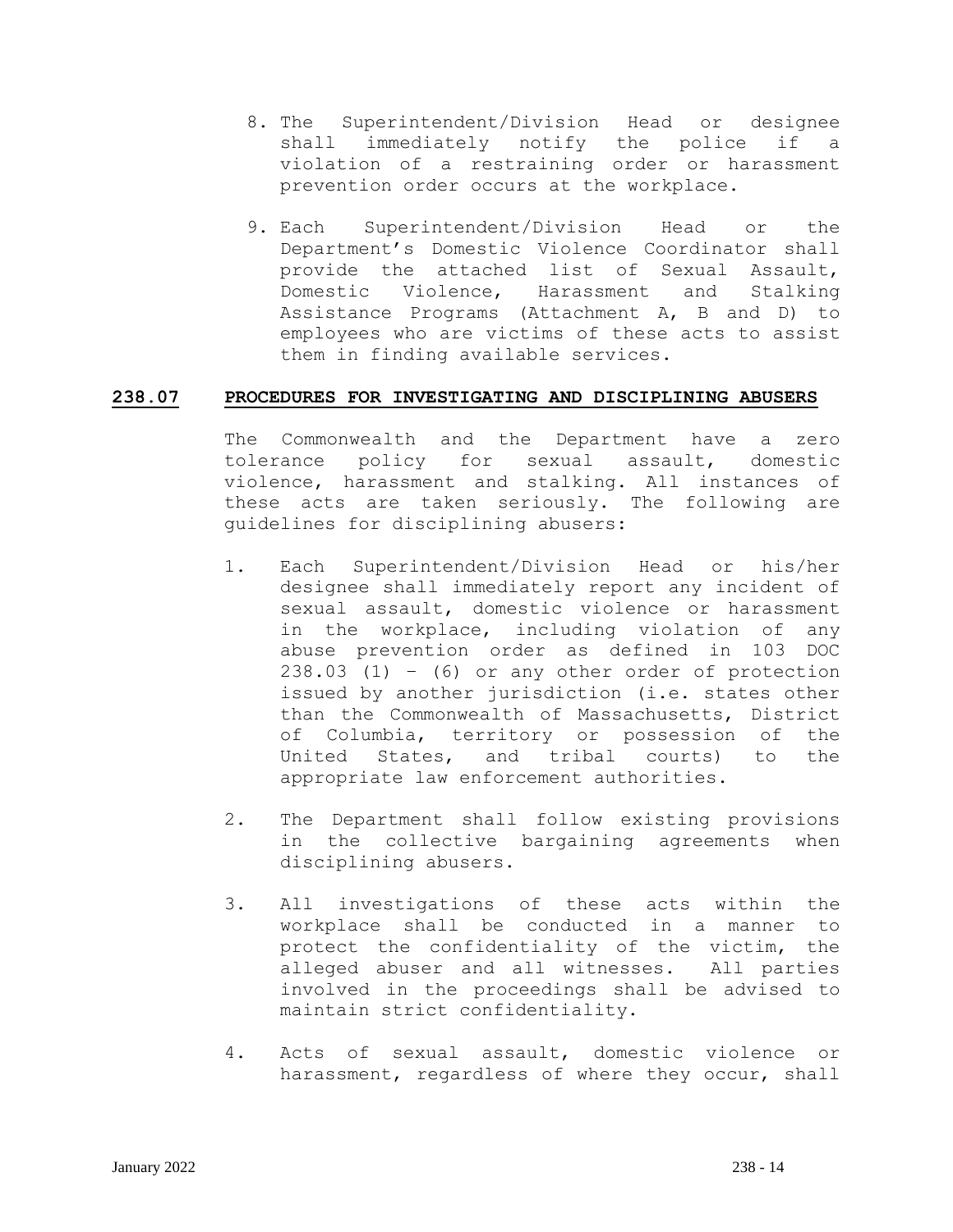- 8. The Superintendent/Division Head or designee shall immediately notify the police if a violation of a restraining order or harassment prevention order occurs at the workplace.
- 9. Each Superintendent/Division Head or the Department's Domestic Violence Coordinator shall provide the attached list of Sexual Assault, Domestic Violence, Harassment and Stalking Assistance Programs (Attachment A, B and D) to employees who are victims of these acts to assist them in finding available services.

### **238.07 PROCEDURES FOR INVESTIGATING AND DISCIPLINING ABUSERS**

The Commonwealth and the Department have a zero tolerance policy for sexual assault, domestic violence, harassment and stalking. All instances of these acts are taken seriously. The following are guidelines for disciplining abusers:

- 1. Each Superintendent/Division Head or his/her designee shall immediately report any incident of sexual assault, domestic violence or harassment in the workplace, including violation of any abuse prevention order as defined in 103 DOC 238.03 (1) – (6) or any other order of protection issued by another jurisdiction (i.e. states other than the Commonwealth of Massachusetts, District of Columbia, territory or possession of the United States, and tribal courts) to the appropriate law enforcement authorities.
- 2. The Department shall follow existing provisions in the collective bargaining agreements when disciplining abusers.
- 3. All investigations of these acts within the workplace shall be conducted in a manner to protect the confidentiality of the victim, the alleged abuser and all witnesses. All parties involved in the proceedings shall be advised to maintain strict confidentiality.
- 4. Acts of sexual assault, domestic violence or harassment, regardless of where they occur, shall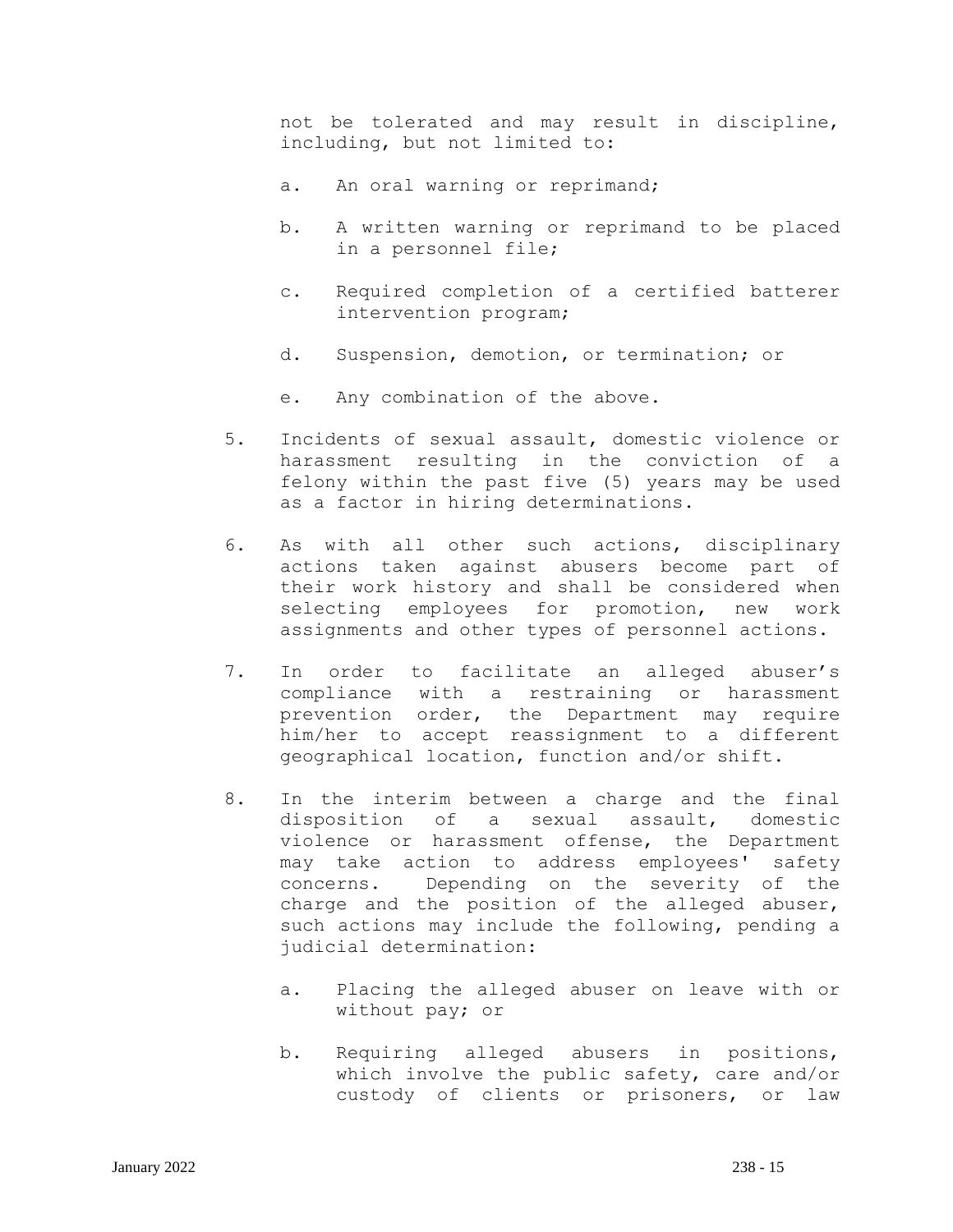not be tolerated and may result in discipline, including, but not limited to:

- a. An oral warning or reprimand;
- b. A written warning or reprimand to be placed in a personnel file;
- c. Required completion of a certified batterer intervention program;
- d. Suspension, demotion, or termination; or
- e. Any combination of the above.
- 5. Incidents of sexual assault, domestic violence or harassment resulting in the conviction of a felony within the past five (5) years may be used as a factor in hiring determinations.
- 6. As with all other such actions, disciplinary actions taken against abusers become part of their work history and shall be considered when selecting employees for promotion, new work assignments and other types of personnel actions.
- 7. In order to facilitate an alleged abuser's compliance with a restraining or harassment prevention order, the Department may require him/her to accept reassignment to a different geographical location, function and/or shift.
- 8. In the interim between a charge and the final disposition of a sexual assault, domestic violence or harassment offense, the Department may take action to address employees' safety concerns. Depending on the severity of the charge and the position of the alleged abuser, such actions may include the following, pending a judicial determination:
	- a. Placing the alleged abuser on leave with or without pay; or
	- b. Requiring alleged abusers in positions, which involve the public safety, care and/or custody of clients or prisoners, or law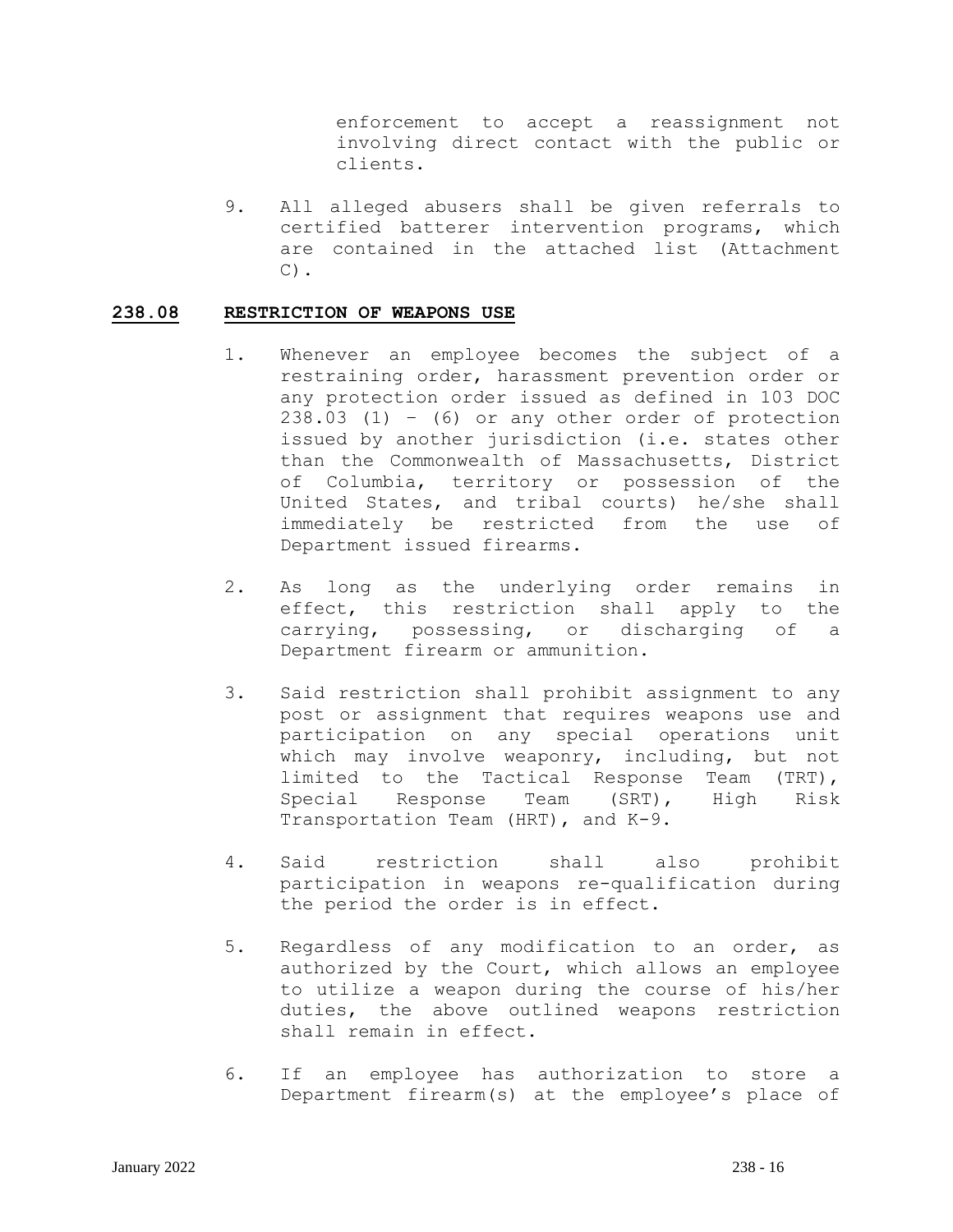enforcement to accept a reassignment not involving direct contact with the public or clients.

9. All alleged abusers shall be given referrals to certified batterer intervention programs, which are contained in the attached list (Attachment  $C)$ .

### **238.08 RESTRICTION OF WEAPONS USE**

- 1. Whenever an employee becomes the subject of a restraining order, harassment prevention order or any protection order issued as defined in 103 DOC 238.03 (1) – (6) or any other order of protection issued by another jurisdiction (i.e. states other than the Commonwealth of Massachusetts, District of Columbia, territory or possession of the United States, and tribal courts) he/she shall immediately be restricted from the use of Department issued firearms.
- 2. As long as the underlying order remains in effect, this restriction shall apply to the carrying, possessing, or discharging of a Department firearm or ammunition.
- 3. Said restriction shall prohibit assignment to any post or assignment that requires weapons use and participation on any special operations unit which may involve weaponry, including, but not limited to the Tactical Response Team (TRT), Special Response Team (SRT), High Risk Transportation Team (HRT), and K-9.
- 4. Said restriction shall also prohibit participation in weapons re-qualification during the period the order is in effect.
- 5. Regardless of any modification to an order, as authorized by the Court, which allows an employee to utilize a weapon during the course of his/her duties, the above outlined weapons restriction shall remain in effect.
- 6. If an employee has authorization to store a Department firearm(s) at the employee's place of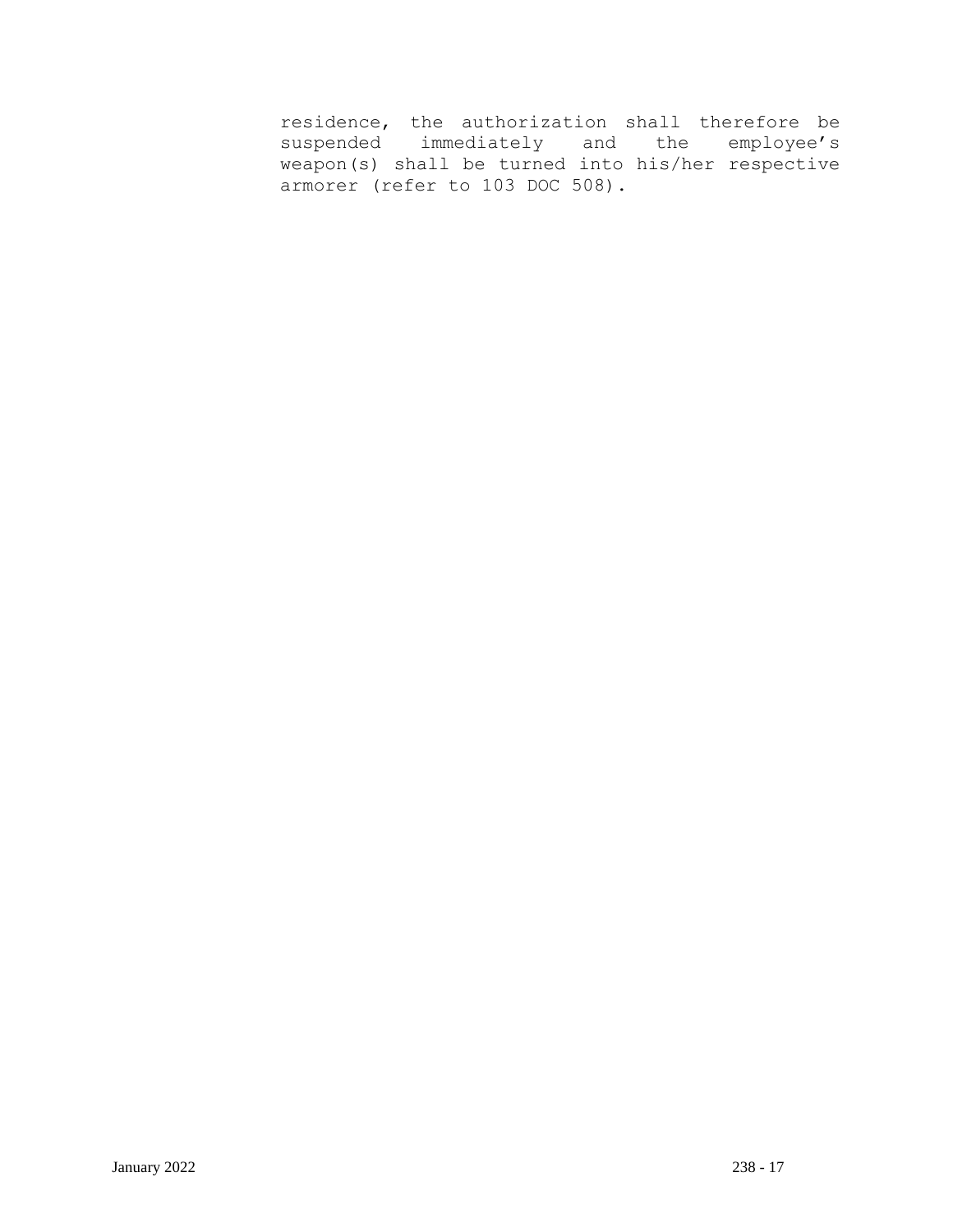residence, the authorization shall therefore be suspended immediately and the employee's weapon(s) shall be turned into his/her respective armorer (refer to 103 DOC 508).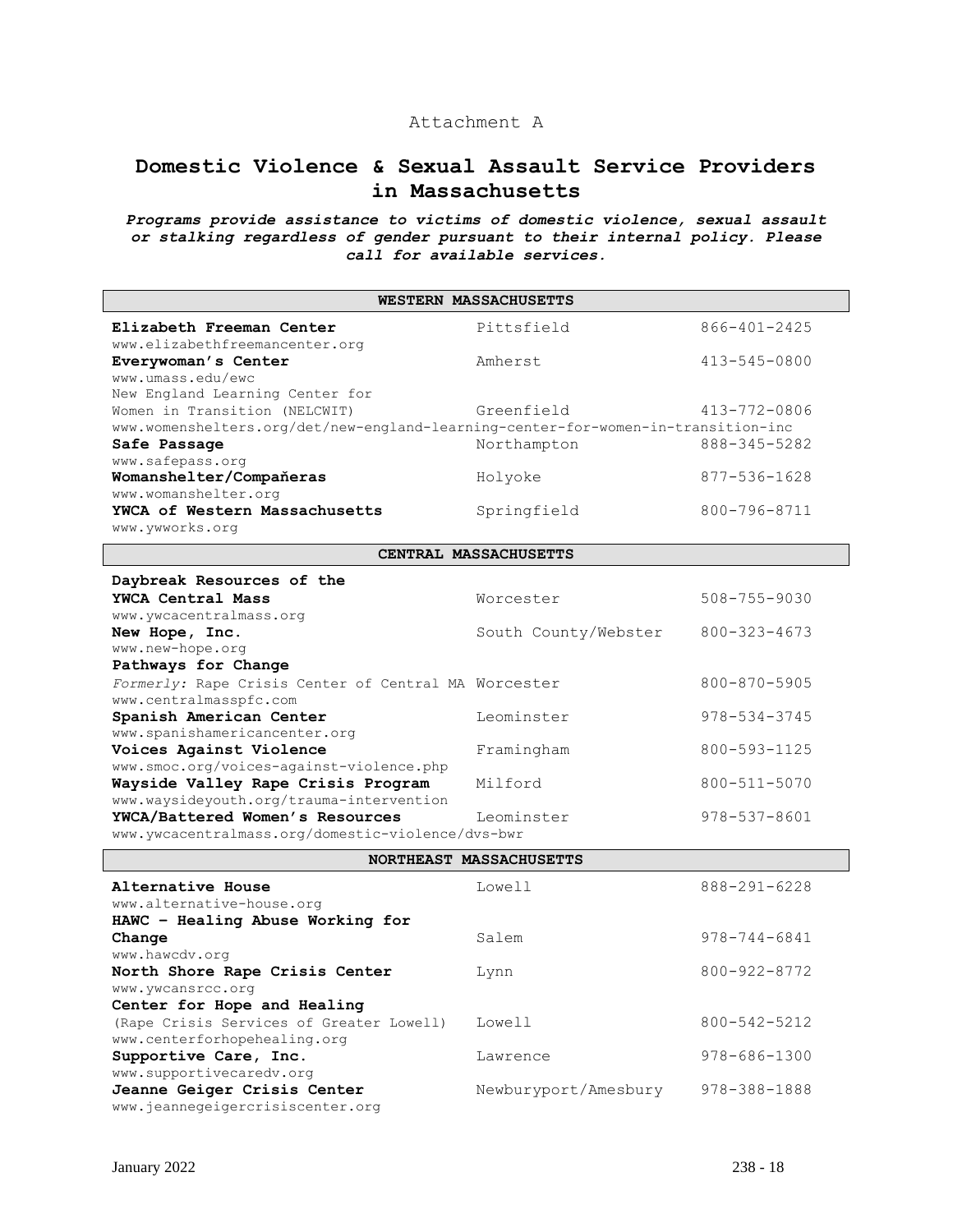## Attachment A

## **Domestic Violence & Sexual Assault Service Providers in Massachusetts**

*Programs provide assistance to victims of domestic violence, sexual assault or stalking regardless of gender pursuant to their internal policy. Please call for available services.*

| WESTERN MASSACHUSETTS                                                             |                         |                    |
|-----------------------------------------------------------------------------------|-------------------------|--------------------|
| Elizabeth Freeman Center                                                          | Pittsfield              | 866-401-2425       |
| www.elizabethfreemancenter.org                                                    |                         |                    |
| Everywoman's Center                                                               | Amherst                 | 413-545-0800       |
| www.umass.edu/ewc                                                                 |                         |                    |
| New England Learning Center for                                                   |                         |                    |
| Women in Transition (NELCWIT)                                                     | Greenfield              | 413-772-0806       |
| www.womenshelters.org/det/new-england-learning-center-for-women-in-transition-inc |                         |                    |
| Safe Passage                                                                      | Northampton             | 888-345-5282       |
| www.safepass.org                                                                  |                         |                    |
| Womanshelter/Compañeras                                                           | Holyoke                 | 877-536-1628       |
| www.womanshelter.org<br>YWCA of Western Massachusetts                             |                         | 800-796-8711       |
| www.ywworks.org                                                                   | Springfield             |                    |
|                                                                                   |                         |                    |
|                                                                                   | CENTRAL MASSACHUSETTS   |                    |
| Daybreak Resources of the                                                         |                         |                    |
| YWCA Central Mass                                                                 | Worcester               | $508 - 755 - 9030$ |
| www.ywcacentralmass.org                                                           |                         |                    |
| New Hope, Inc.                                                                    | South County/Webster    | 800-323-4673       |
| www.new-hope.org                                                                  |                         |                    |
| Pathways for Change                                                               |                         |                    |
| Formerly: Rape Crisis Center of Central MA Worcester                              |                         | 800-870-5905       |
| www.centralmasspfc.com                                                            |                         |                    |
| Spanish American Center                                                           | Leominster              | 978-534-3745       |
| www.spanishamericancenter.org                                                     |                         |                    |
| Voices Against Violence                                                           | Framingham              | 800-593-1125       |
| www.smoc.org/voices-against-violence.php<br>Wayside Valley Rape Crisis Program    | Milford                 | 800-511-5070       |
| www.waysideyouth.org/trauma-intervention                                          |                         |                    |
| YWCA/Battered Women's Resources                                                   | Leominster              | 978-537-8601       |
| www.ywcacentralmass.org/domestic-violence/dvs-bwr                                 |                         |                    |
|                                                                                   |                         |                    |
|                                                                                   | NORTHEAST MASSACHUSETTS |                    |
| Alternative House                                                                 | Lowell                  | 888-291-6228       |
| www.alternative-house.org                                                         |                         |                    |
| HAWC - Healing Abuse Working for                                                  |                         |                    |
| Change                                                                            | Salem                   | $978 - 744 - 6841$ |
| www.hawcdv.org                                                                    |                         |                    |
| North Shore Rape Crisis Center                                                    | Lynn                    | 800-922-8772       |
| www.ywcansrcc.org                                                                 |                         |                    |
| Center for Hope and Healing                                                       |                         |                    |
| (Rape Crisis Services of Greater Lowell)                                          | Lowell                  | 800-542-5212       |
| www.centerforhopehealing.org                                                      |                         |                    |
| Supportive Care, Inc.                                                             | Lawrence                | 978-686-1300       |
| www.supportivecaredv.org                                                          |                         |                    |
| Jeanne Geiger Crisis Center                                                       | Newburyport/Amesbury    | 978-388-1888       |

www.jeannegeigercrisiscenter.org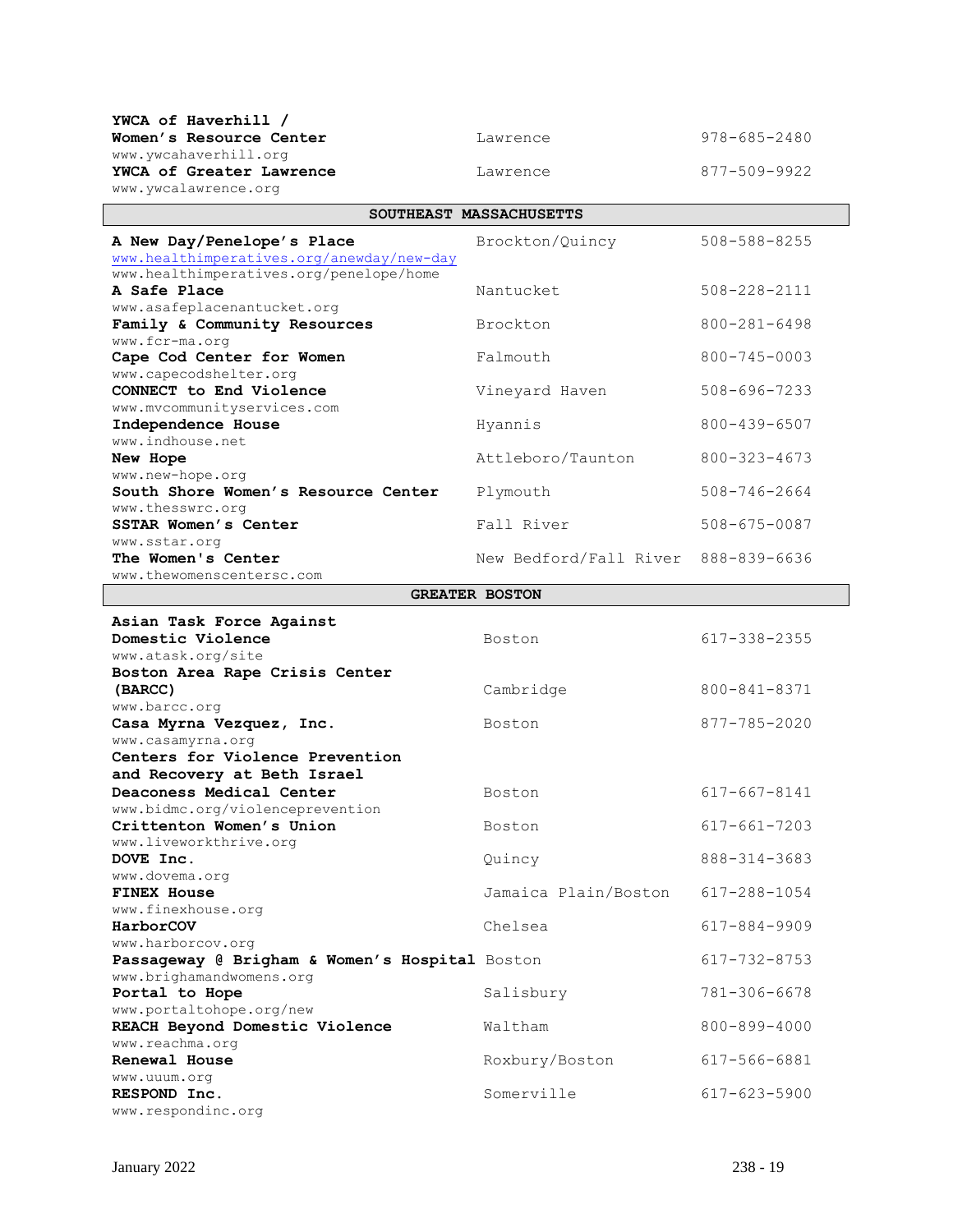| YWCA of Haverhill /                                                                  |                         |                    |
|--------------------------------------------------------------------------------------|-------------------------|--------------------|
| Women's Resource Center                                                              | Lawrence                | 978-685-2480       |
| www.ywcahaverhill.org                                                                |                         |                    |
| YWCA of Greater Lawrence                                                             | Lawrence                | 877-509-9922       |
| www.ywcalawrence.org                                                                 |                         |                    |
|                                                                                      | SOUTHEAST MASSACHUSETTS |                    |
| A New Day/Penelope's Place                                                           | Brockton/Quincy         | 508-588-8255       |
| www.healthimperatives.org/anewday/new-day<br>www.healthimperatives.org/penelope/home |                         |                    |
| A Safe Place                                                                         | Nantucket               | 508-228-2111       |
| www.asafeplacenantucket.org                                                          |                         |                    |
| Family & Community Resources                                                         | Brockton                | 800-281-6498       |
| www.fcr-ma.org<br>Cape Cod Center for Women                                          | Falmouth                | 800-745-0003       |
| www.capecodshelter.org                                                               |                         |                    |
| CONNECT to End Violence                                                              | Vineyard Haven          | 508-696-7233       |
| www.mvcommunityservices.com                                                          |                         |                    |
| Independence House<br>www.indhouse.net                                               | Hyannis                 | 800-439-6507       |
| New Hope                                                                             | Attleboro/Taunton       | 800-323-4673       |
| www.new-hope.org                                                                     |                         |                    |
| South Shore Women's Resource Center                                                  | Plymouth                | 508-746-2664       |
| www.thesswrc.org<br><b>SSTAR Women's Center</b>                                      | Fall River              | 508-675-0087       |
| www.sstar.org                                                                        |                         |                    |
| The Women's Center                                                                   | New Bedford/Fall River  | 888-839-6636       |
| www.thewomenscentersc.com                                                            |                         |                    |
|                                                                                      | <b>GREATER BOSTON</b>   |                    |
| Asian Task Force Against                                                             |                         |                    |
| Domestic Violence                                                                    | Boston                  | 617-338-2355       |
| www.atask.org/site<br>Boston Area Rape Crisis Center                                 |                         |                    |
| (BARCC)                                                                              | Cambridge               | 800-841-8371       |
| www.barcc.org                                                                        |                         |                    |
| Casa Myrna Vezquez, Inc.<br>www.casamyrna.org                                        | Boston                  | 877-785-2020       |
| Centers for Violence Prevention                                                      |                         |                    |
| and Recovery at Beth Israel                                                          |                         |                    |
| Deaconess Medical Center                                                             | Boston                  | $617 - 667 - 8141$ |
| www.bidmc.org/violenceprevention<br>Crittenton Women's Union                         |                         |                    |
| www.liveworkthrive.org                                                               | Boston                  | 617-661-7203       |
| DOVE Inc.                                                                            | Quincy                  | 888-314-3683       |
| www.dovema.org                                                                       |                         |                    |
| <b>FINEX House</b>                                                                   | Jamaica Plain/Boston    | 617-288-1054       |
| www.finexhouse.org<br>HarborCOV                                                      | Chelsea                 | 617-884-9909       |
| www.harborcov.org                                                                    |                         |                    |
| Passageway @ Brigham & Women's Hospital Boston                                       |                         | 617-732-8753       |
| www.brighamandwomens.org<br>Portal to Hope                                           |                         | 781-306-6678       |
| www.portaltohope.org/new                                                             | Salisbury               |                    |
| REACH Beyond Domestic Violence                                                       | Waltham                 | 800-899-4000       |
| www.reachma.org                                                                      |                         |                    |
| <b>Renewal House</b><br>www.uuum.org                                                 | Roxbury/Boston          | 617-566-6881       |
| RESPOND Inc.                                                                         | Somerville              | $617 - 623 - 5900$ |
| www.respondinc.org                                                                   |                         |                    |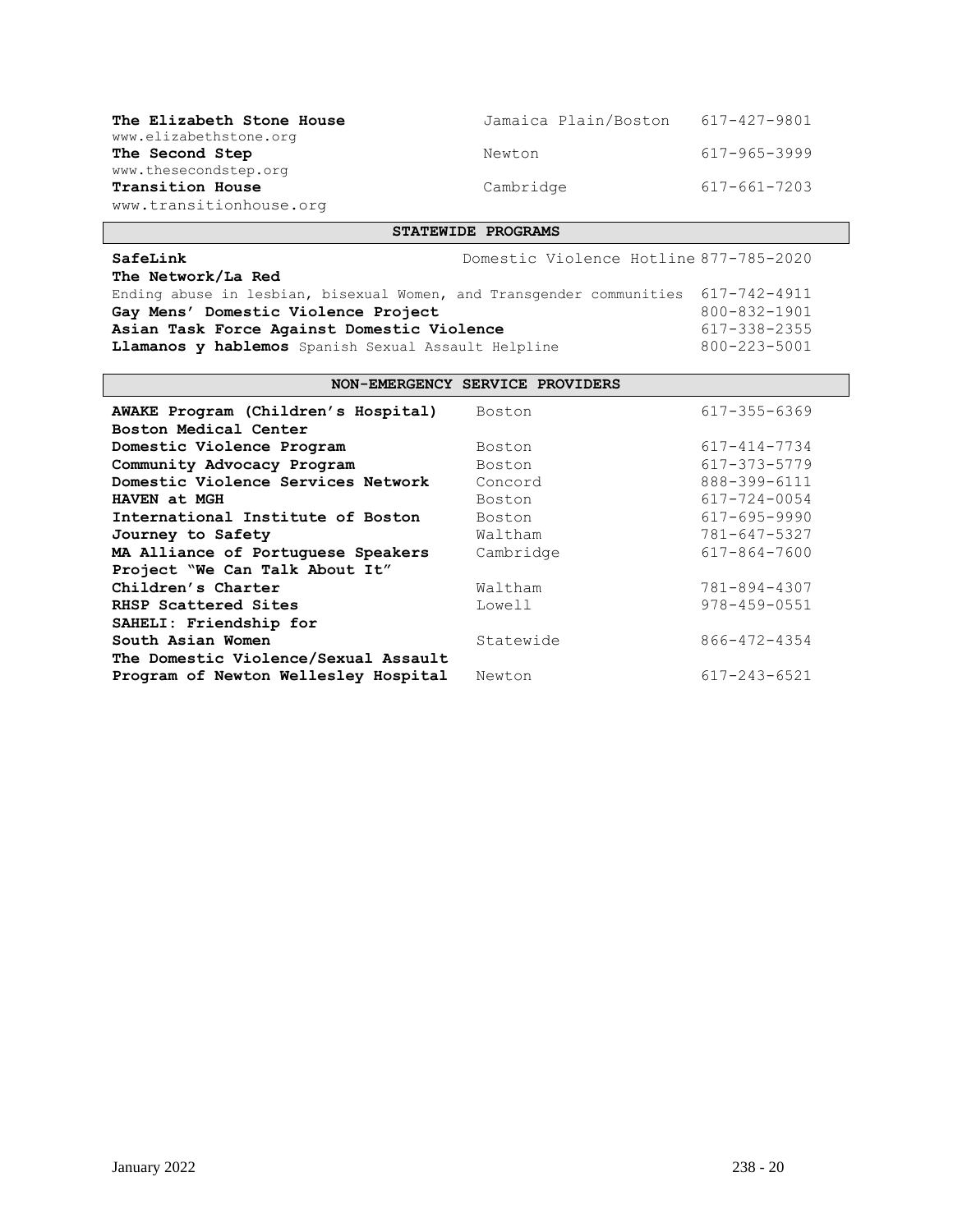| The Elizabeth Stone House                                                   | Jamaica Plain/Boston | 617-427-9801 |
|-----------------------------------------------------------------------------|----------------------|--------------|
| www.elizabethstone.org<br>The Second Step                                   | Newton               | 617-965-3999 |
| www.thesecondstep.org<br><b>Transition House</b><br>www.transitionhouse.org | Cambridge            | 617-661-7203 |

### **STATEWIDE PROGRAMS**

| SafeLink                                                                          | Domestic Violence Hotline 877-785-2020 |              |
|-----------------------------------------------------------------------------------|----------------------------------------|--------------|
| The Network/La Red                                                                |                                        |              |
| Ending abuse in lesbian, bisexual Women, and Transgender communities 617-742-4911 |                                        |              |
| Gay Mens' Domestic Violence Project                                               |                                        | 800-832-1901 |
| Asian Task Force Against Domestic Violence                                        |                                        | 617-338-2355 |
| Llamanos y hablemos Spanish Sexual Assault Helpline                               |                                        | 800-223-5001 |

## **NON-EMERGENCY SERVICE PROVIDERS**

| AWAKE Program (Children's Hospital)<br>Boston Medical Center | Boston    | 617-355-6369       |
|--------------------------------------------------------------|-----------|--------------------|
| Domestic Violence Program                                    | Boston    | 617-414-7734       |
| Community Advocacy Program                                   | Boston    | 617-373-5779       |
| Domestic Violence Services Network                           | Concord   | 888-399-6111       |
| HAVEN at MGH                                                 | Boston    | 617-724-0054       |
| International Institute of Boston                            | Boston    | 617-695-9990       |
| Journey to Safety                                            | Waltham   | 781-647-5327       |
| MA Alliance of Portuguese Speakers                           | Cambridge | 617-864-7600       |
| Project "We Can Talk About It"                               |           |                    |
| Children's Charter                                           | Waltham   | 781-894-4307       |
| RHSP Scattered Sites                                         | Lowell    | $978 - 459 - 0551$ |
| SAHELI: Friendship for                                       |           |                    |
| South Asian Women                                            | Statewide | 866-472-4354       |
| The Domestic Violence/Sexual Assault                         |           |                    |
| Program of Newton Wellesley Hospital                         | Newton    | $617 - 243 - 6521$ |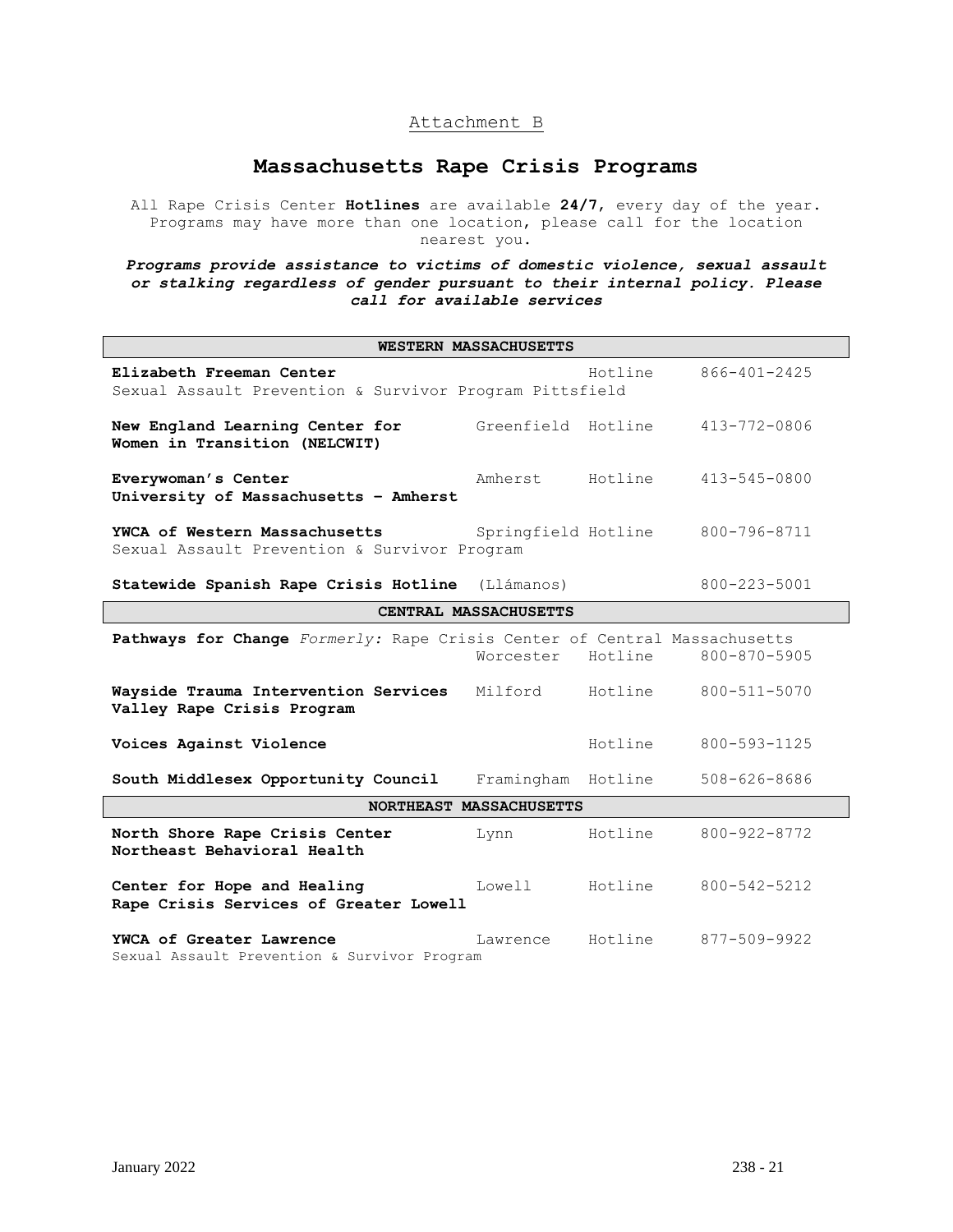## Attachment B

## **Massachusetts Rape Crisis Programs**

All Rape Crisis Center **Hotlines** are available **24/7**, every day of the year. Programs may have more than one location, please call for the location nearest you.

*Programs provide assistance to victims of domestic violence, sexual assault or stalking regardless of gender pursuant to their internal policy. Please call for available services*

| WESTERN MASSACHUSETTS                                                               |                       |         |                    |
|-------------------------------------------------------------------------------------|-----------------------|---------|--------------------|
| Elizabeth Freeman Center<br>Sexual Assault Prevention & Survivor Program Pittsfield |                       | Hotline | 866-401-2425       |
| New England Learning Center for<br>Women in Transition (NELCWIT)                    | Greenfield Hotline    |         | 413-772-0806       |
| Everywoman's Center<br>University of Massachusetts - Amherst                        | Amherst               | Hotline | 413-545-0800       |
| YWCA of Western Massachusetts<br>Sexual Assault Prevention & Survivor Program       | Springfield Hotline   |         | 800-796-8711       |
| Statewide Spanish Rape Crisis Hotline (Llámanos)                                    |                       |         | $800 - 223 - 5001$ |
|                                                                                     | CENTRAL MASSACHUSETTS |         |                    |
| Pathways for Change Formerly: Rape Crisis Center of Central Massachusetts           | Worcester             | Hotline | 800-870-5905       |
| Wayside Trauma Intervention Services<br>Valley Rape Crisis Program                  | Milford               | Hotline | 800-511-5070       |
| Voices Against Violence                                                             |                       | Hotline | 800-593-1125       |
| South Middlesex Opportunity Council                                                 | Framingham Hotline    |         | $508 - 626 - 8686$ |
| NORTHEAST MASSACHUSETTS                                                             |                       |         |                    |
| North Shore Rape Crisis Center<br>Northeast Behavioral Health                       | Lynn                  | Hotline | 800-922-8772       |
| Center for Hope and Healing<br>Rape Crisis Services of Greater Lowell               | Lowell                | Hotline | 800-542-5212       |
| YWCA of Greater Lawrence<br>Sexual Assault Prevention & Survivor Program            | Lawrence              | Hotline | 877-509-9922       |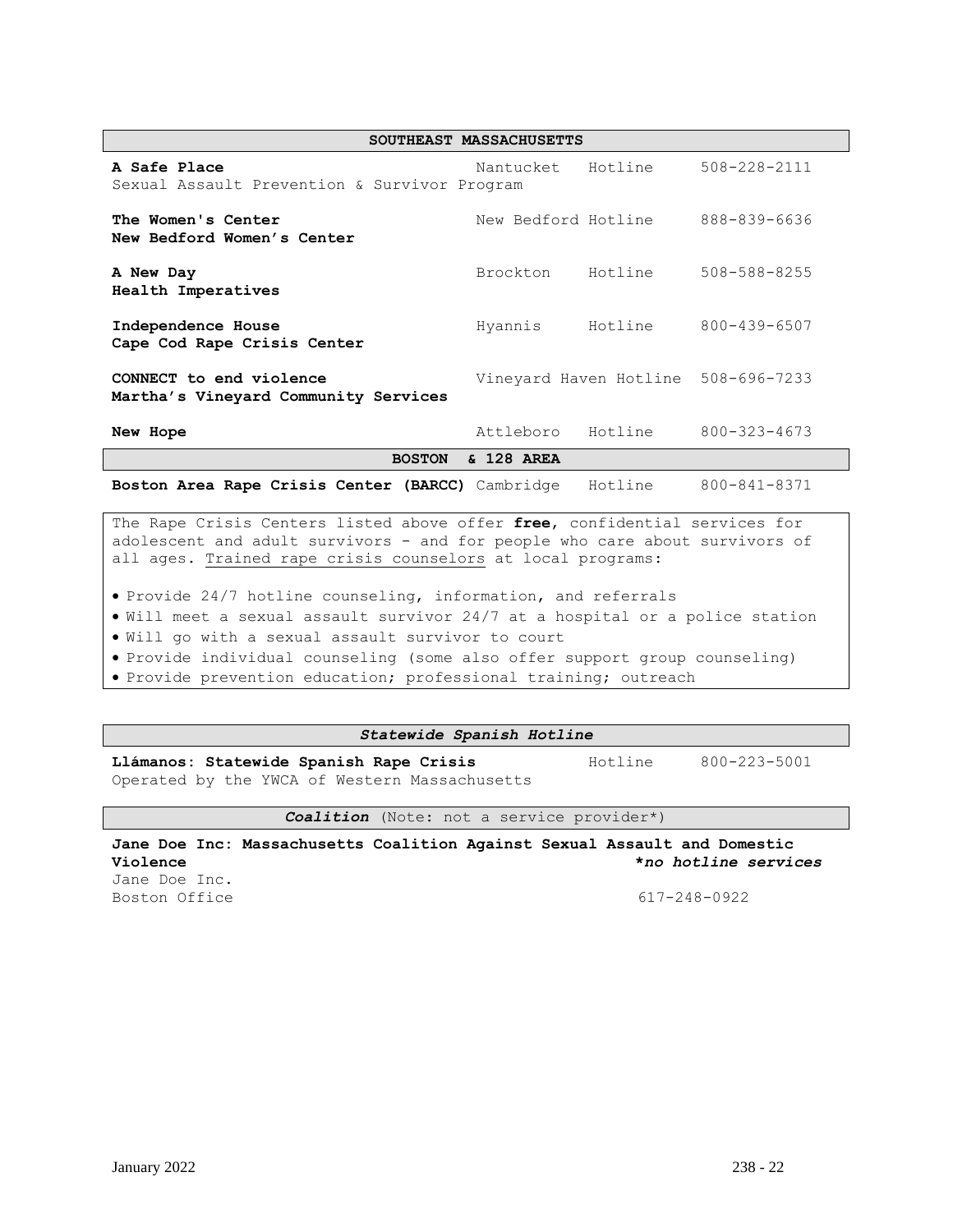| SOUTHEAST MASSACHUSETTS                                         |                     |         |                                     |
|-----------------------------------------------------------------|---------------------|---------|-------------------------------------|
| A Safe Place<br>Sexual Assault Prevention & Survivor Program    | Nantucket           | Hotline | 508-228-2111                        |
| The Women's Center<br>New Bedford Women's Center                | New Bedford Hotline |         | 888-839-6636                        |
| A New Day<br>Health Imperatives                                 | Brockton            | Hotline | $508 - 588 - 8255$                  |
| Independence House<br>Cape Cod Rape Crisis Center               | Hyannis             | Hotline | 800-439-6507                        |
| CONNECT to end violence<br>Martha's Vineyard Community Services |                     |         | Vineyard Haven Hotline 508-696-7233 |
| New Hope                                                        | Attleboro           | Hotline | $800 - 323 - 4673$                  |
| & 128 AREA<br><b>BOSTON</b>                                     |                     |         |                                     |
| Boston Area Rape Crisis Center (BARCC) Cambridge                |                     | Hotline | 800-841-8371                        |

The Rape Crisis Centers listed above offer **free**, confidential services for adolescent and adult survivors - and for people who care about survivors of all ages. Trained rape crisis counselors at local programs:

• Provide 24/7 hotline counseling, information, and referrals

• Will meet a sexual assault survivor 24/7 at a hospital or a police station

• Will go with a sexual assault survivor to court

• Provide individual counseling (some also offer support group counseling)

• Provide prevention education; professional training; outreach

#### *Statewide Spanish Hotline*

Llámanos: Statewide Spanish Rape Crisis **Hotline** 800-223-5001 Operated by the YWCA of Western Massachusetts

*Coalition* (Note: not a service provider\*)

**Jane Doe Inc: Massachusetts Coalition Against Sexual Assault and Domestic Violence \****no hotline services* Jane Doe Inc.

Boston Office 617-248-0922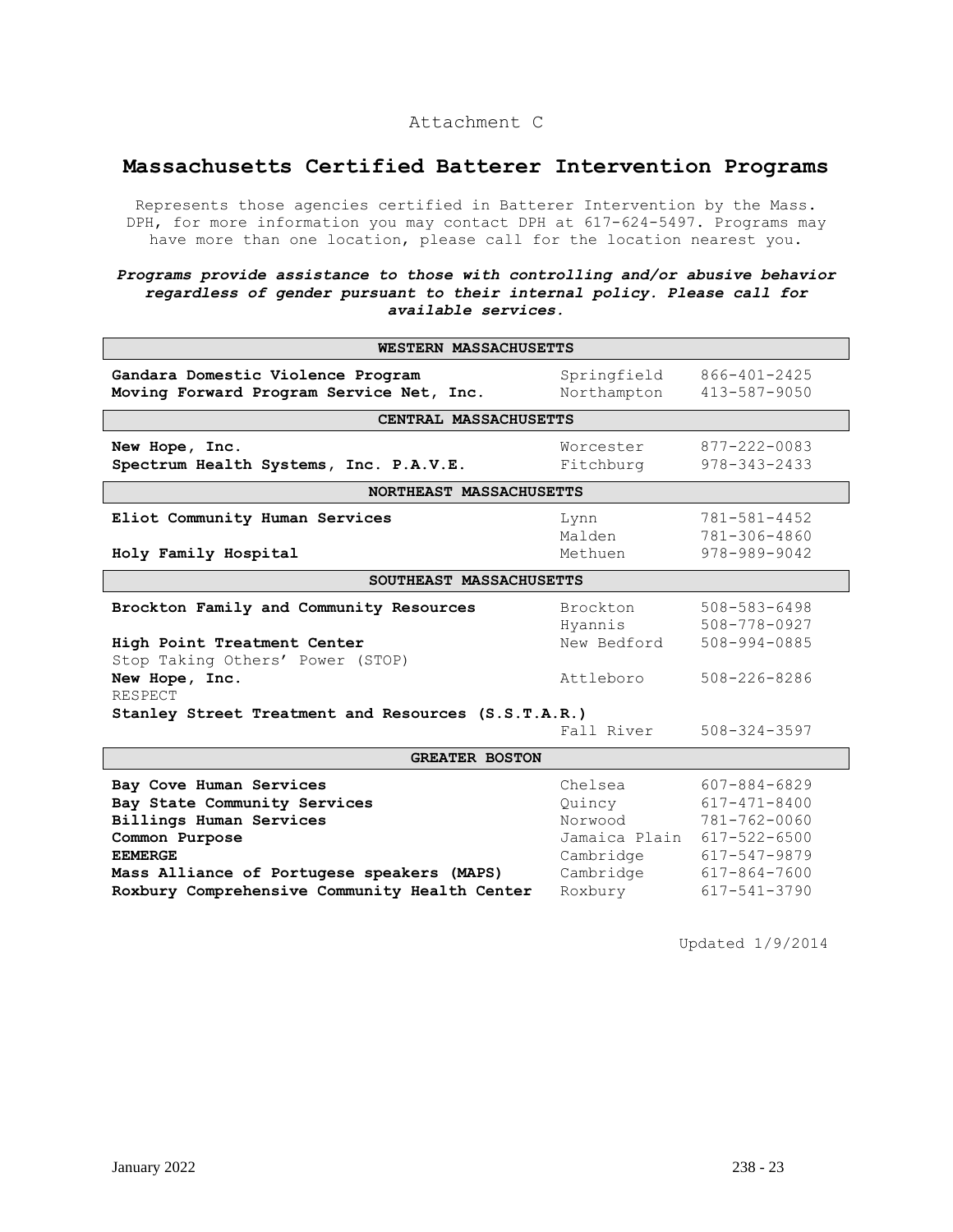## Attachment C

# **Massachusetts Certified Batterer Intervention Programs**

Represents those agencies certified in Batterer Intervention by the Mass. DPH, for more information you may contact DPH at 617-624-5497. Programs may have more than one location, please call for the location nearest you.

### *Programs provide assistance to those with controlling and/or abusive behavior regardless of gender pursuant to their internal policy. Please call for available services.*

| <b>WESTERN MASSACHUSETTS</b>                                                                                                                                                                                          |                                                                                    |                                                                                                              |  |
|-----------------------------------------------------------------------------------------------------------------------------------------------------------------------------------------------------------------------|------------------------------------------------------------------------------------|--------------------------------------------------------------------------------------------------------------|--|
| Gandara Domestic Violence Program<br>Moving Forward Program Service Net, Inc.                                                                                                                                         | Springfield<br>Northampton                                                         | 866-401-2425<br>413-587-9050                                                                                 |  |
| CENTRAL MASSACHUSETTS                                                                                                                                                                                                 |                                                                                    |                                                                                                              |  |
| New Hope, Inc.<br>Spectrum Health Systems, Inc. P.A.V.E.                                                                                                                                                              | Worcester<br>Fitchburg                                                             | 877-222-0083<br>$978 - 343 - 2433$                                                                           |  |
| NORTHEAST MASSACHUSETTS                                                                                                                                                                                               |                                                                                    |                                                                                                              |  |
| Eliot Community Human Services<br>Holy Family Hospital                                                                                                                                                                | Lynn<br>Malden<br>Methuen                                                          | 781-581-4452<br>781-306-4860<br>978-989-9042                                                                 |  |
| SOUTHEAST MASSACHUSETTS                                                                                                                                                                                               |                                                                                    |                                                                                                              |  |
| Brockton Family and Community Resources<br>High Point Treatment Center                                                                                                                                                | Brockton<br>Hyannis<br>New Bedford                                                 | $508 - 583 - 6498$<br>508-778-0927<br>508-994-0885                                                           |  |
| Stop Taking Others' Power (STOP)<br>New Hope, Inc.<br><b>RESPECT</b>                                                                                                                                                  | Attleboro                                                                          | $508 - 226 - 8286$                                                                                           |  |
| Stanley Street Treatment and Resources (S.S.T.A.R.)<br>Fall River<br>$508 - 324 - 3597$                                                                                                                               |                                                                                    |                                                                                                              |  |
|                                                                                                                                                                                                                       |                                                                                    |                                                                                                              |  |
| <b>GREATER BOSTON</b>                                                                                                                                                                                                 |                                                                                    |                                                                                                              |  |
| Bay Cove Human Services<br>Bay State Community Services<br>Billings Human Services<br>Common Purpose<br><b>EEMERGE</b><br>Mass Alliance of Portugese speakers (MAPS)<br>Roxbury Comprehensive Community Health Center | Chelsea<br>Quincy<br>Norwood<br>Jamaica Plain<br>Cambridge<br>Cambridge<br>Roxbury | 607-884-6829<br>617-471-8400<br>781-762-0060<br>617-522-6500<br>617-547-9879<br>617-864-7600<br>617-541-3790 |  |

Updated 1/9/2014